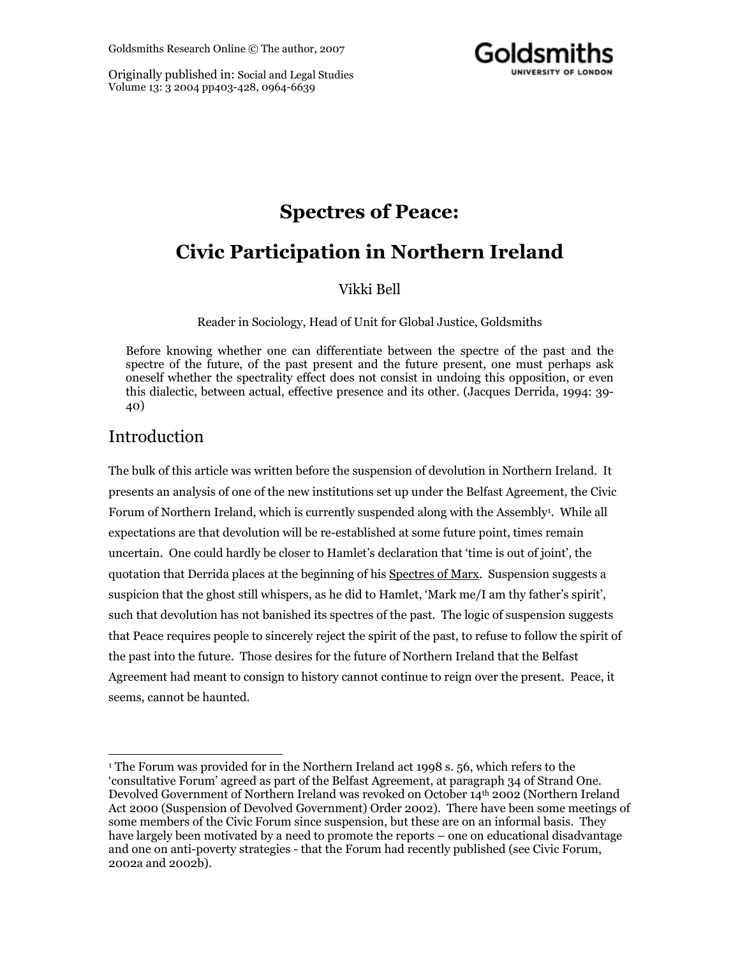Goldsmiths Research Online © The author, 2007



Originally published in: Social and Legal Studies Volume 13: 3 2004 pp403-428, 0964-6639

# **Spectres of Peace:**

# **Civic Participation in Northern Ireland**

### Vikki Bell

Reader in Sociology, Head of Unit for Global Justice, Goldsmiths

Before knowing whether one can differentiate between the spectre of the past and the spectre of the future, of the past present and the future present, one must perhaps ask oneself whether the spectrality effect does not consist in undoing this opposition, or even this dialectic, between actual, effective presence and its other. (Jacques Derrida, 1994: 39- 40)

# Introduction

The bulk of this article was written before the suspension of devolution in Northern Ireland. It presents an analysis of one of the new institutions set up under the Belfast Agreement, the Civic Forum of Northern Ireland, which is currently suspended along with the Assembly<sup>1</sup>. While all expectations are that devolution will be re-established at some future point, times remain uncertain. One could hardly be closer to Hamlet's declaration that 'time is out of joint', the quotation that Derrida places at the beginning of his Spectres of Marx. Suspension suggests a suspicion that the ghost still whispers, as he did to Hamlet, 'Mark me/I am thy father's spirit', such that devolution has not banished its spectres of the past. The logic of suspension suggests that Peace requires people to sincerely reject the spirit of the past, to refuse to follow the spirit of the past into the future. Those desires for the future of Northern Ireland that the Belfast Agreement had meant to consign to history cannot continue to reign over the present. Peace, it seems, cannot be haunted.

l <sup>1</sup> The Forum was provided for in the Northern Ireland act 1998 s. 56, which refers to the 'consultative Forum' agreed as part of the Belfast Agreement, at paragraph 34 of Strand One. Devolved Government of Northern Ireland was revoked on October 14th 2002 (Northern Ireland Act 2000 (Suspension of Devolved Government) Order 2002). There have been some meetings of some members of the Civic Forum since suspension, but these are on an informal basis. They have largely been motivated by a need to promote the reports – one on educational disadvantage and one on anti-poverty strategies - that the Forum had recently published (see Civic Forum, 2002a and 2002b).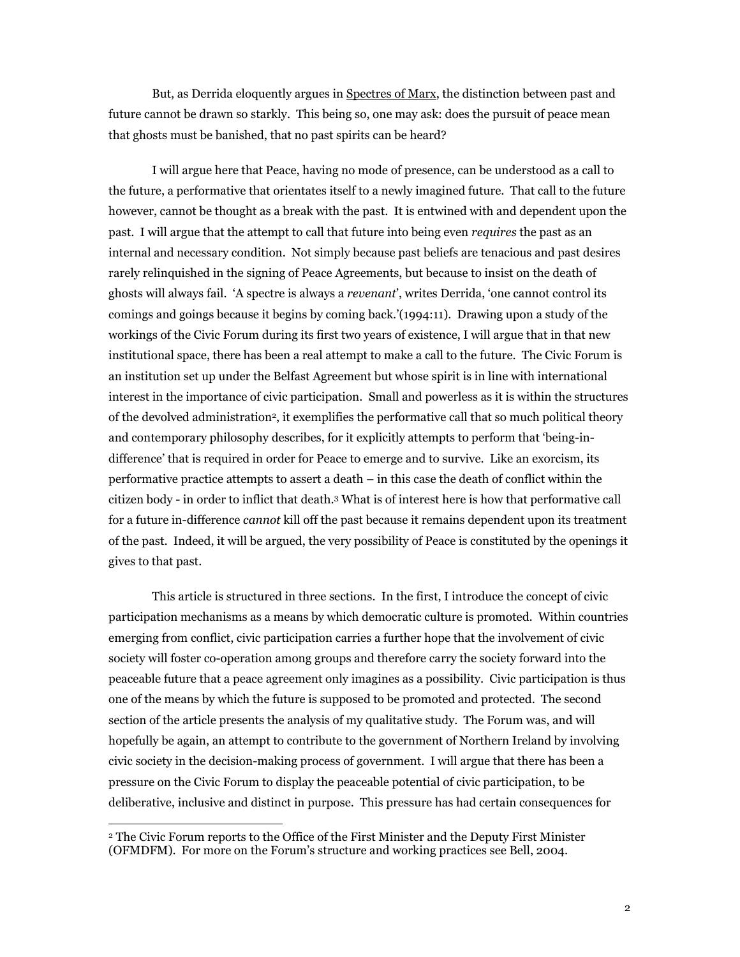But, as Derrida eloquently argues in Spectres of Marx, the distinction between past and future cannot be drawn so starkly. This being so, one may ask: does the pursuit of peace mean that ghosts must be banished, that no past spirits can be heard?

I will argue here that Peace, having no mode of presence, can be understood as a call to the future, a performative that orientates itself to a newly imagined future. That call to the future however, cannot be thought as a break with the past. It is entwined with and dependent upon the past. I will argue that the attempt to call that future into being even *requires* the past as an internal and necessary condition. Not simply because past beliefs are tenacious and past desires rarely relinquished in the signing of Peace Agreements, but because to insist on the death of ghosts will always fail. 'A spectre is always a *revenant*', writes Derrida, 'one cannot control its comings and goings because it begins by coming back.'(1994:11). Drawing upon a study of the workings of the Civic Forum during its first two years of existence, I will argue that in that new institutional space, there has been a real attempt to make a call to the future. The Civic Forum is an institution set up under the Belfast Agreement but whose spirit is in line with international interest in the importance of civic participation. Small and powerless as it is within the structures of the devolved administration2, it exemplifies the performative call that so much political theory and contemporary philosophy describes, for it explicitly attempts to perform that 'being-indifference' that is required in order for Peace to emerge and to survive. Like an exorcism, its performative practice attempts to assert a death – in this case the death of conflict within the citizen body - in order to inflict that death.3 What is of interest here is how that performative call for a future in-difference *cannot* kill off the past because it remains dependent upon its treatment of the past. Indeed, it will be argued, the very possibility of Peace is constituted by the openings it gives to that past.

This article is structured in three sections. In the first, I introduce the concept of civic participation mechanisms as a means by which democratic culture is promoted. Within countries emerging from conflict, civic participation carries a further hope that the involvement of civic society will foster co-operation among groups and therefore carry the society forward into the peaceable future that a peace agreement only imagines as a possibility. Civic participation is thus one of the means by which the future is supposed to be promoted and protected. The second section of the article presents the analysis of my qualitative study. The Forum was, and will hopefully be again, an attempt to contribute to the government of Northern Ireland by involving civic society in the decision-making process of government. I will argue that there has been a pressure on the Civic Forum to display the peaceable potential of civic participation, to be deliberative, inclusive and distinct in purpose. This pressure has had certain consequences for

<sup>2</sup> The Civic Forum reports to the Office of the First Minister and the Deputy First Minister (OFMDFM). For more on the Forum's structure and working practices see Bell, 2004.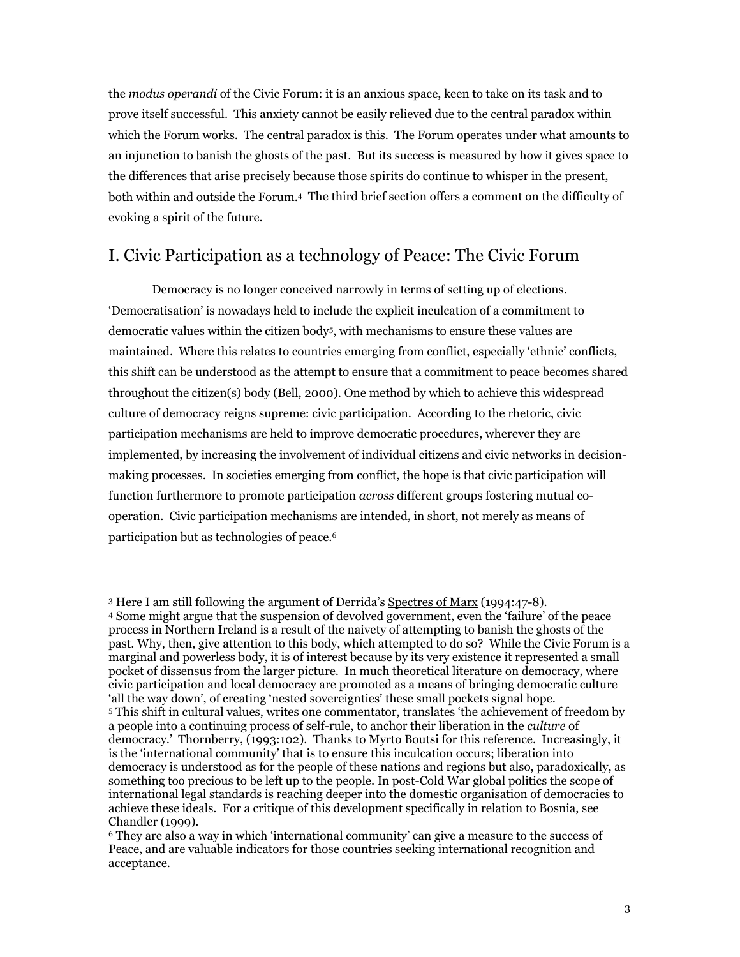the *modus operandi* of the Civic Forum: it is an anxious space, keen to take on its task and to prove itself successful. This anxiety cannot be easily relieved due to the central paradox within which the Forum works. The central paradox is this. The Forum operates under what amounts to an injunction to banish the ghosts of the past. But its success is measured by how it gives space to the differences that arise precisely because those spirits do continue to whisper in the present, both within and outside the Forum.4 The third brief section offers a comment on the difficulty of evoking a spirit of the future.

## I. Civic Participation as a technology of Peace: The Civic Forum

Democracy is no longer conceived narrowly in terms of setting up of elections. 'Democratisation' is nowadays held to include the explicit inculcation of a commitment to democratic values within the citizen body5, with mechanisms to ensure these values are maintained. Where this relates to countries emerging from conflict, especially 'ethnic' conflicts, this shift can be understood as the attempt to ensure that a commitment to peace becomes shared throughout the citizen(s) body (Bell, 2000). One method by which to achieve this widespread culture of democracy reigns supreme: civic participation. According to the rhetoric, civic participation mechanisms are held to improve democratic procedures, wherever they are implemented, by increasing the involvement of individual citizens and civic networks in decisionmaking processes. In societies emerging from conflict, the hope is that civic participation will function furthermore to promote participation *across* different groups fostering mutual cooperation. Civic participation mechanisms are intended, in short, not merely as means of participation but as technologies of peace.6

 <sup>3</sup> Here I am still following the argument of Derrida's Spectres of Marx (1994:47-8). 4 Some might argue that the suspension of devolved government, even the 'failure' of the peace process in Northern Ireland is a result of the naivety of attempting to banish the ghosts of the past. Why, then, give attention to this body, which attempted to do so? While the Civic Forum is a marginal and powerless body, it is of interest because by its very existence it represented a small pocket of dissensus from the larger picture. In much theoretical literature on democracy, where civic participation and local democracy are promoted as a means of bringing democratic culture 'all the way down', of creating 'nested sovereignties' these small pockets signal hope. 5 This shift in cultural values, writes one commentator, translates 'the achievement of freedom by a people into a continuing process of self-rule, to anchor their liberation in the *culture* of democracy.' Thornberry, (1993:102). Thanks to Myrto Boutsi for this reference. Increasingly, it is the 'international community' that is to ensure this inculcation occurs; liberation into democracy is understood as for the people of these nations and regions but also, paradoxically, as something too precious to be left up to the people. In post-Cold War global politics the scope of international legal standards is reaching deeper into the domestic organisation of democracies to achieve these ideals. For a critique of this development specifically in relation to Bosnia, see Chandler (1999).

<sup>6</sup> They are also a way in which 'international community' can give a measure to the success of Peace, and are valuable indicators for those countries seeking international recognition and acceptance.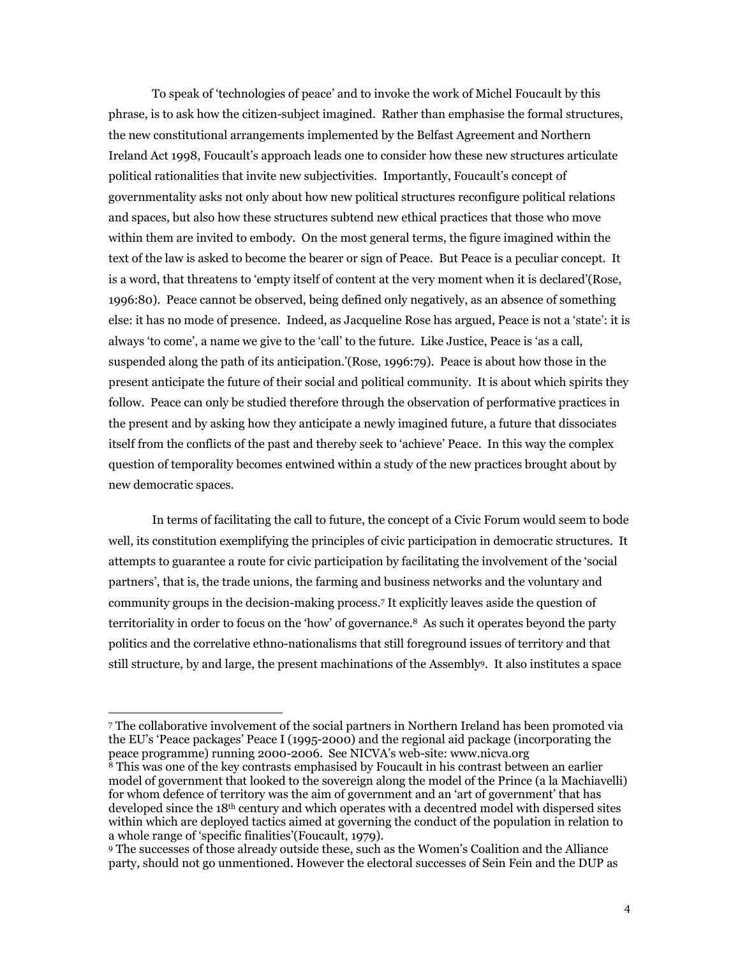To speak of 'technologies of peace' and to invoke the work of Michel Foucault by this phrase, is to ask how the citizen-subject imagined. Rather than emphasise the formal structures, the new constitutional arrangements implemented by the Belfast Agreement and Northern Ireland Act 1998, Foucault's approach leads one to consider how these new structures articulate political rationalities that invite new subjectivities. Importantly, Foucault's concept of governmentality asks not only about how new political structures reconfigure political relations and spaces, but also how these structures subtend new ethical practices that those who move within them are invited to embody. On the most general terms, the figure imagined within the text of the law is asked to become the bearer or sign of Peace. But Peace is a peculiar concept. It is a word, that threatens to 'empty itself of content at the very moment when it is declared'(Rose, 1996:80). Peace cannot be observed, being defined only negatively, as an absence of something else: it has no mode of presence. Indeed, as Jacqueline Rose has argued, Peace is not a 'state': it is always 'to come', a name we give to the 'call' to the future. Like Justice, Peace is 'as a call, suspended along the path of its anticipation.'(Rose, 1996:79). Peace is about how those in the present anticipate the future of their social and political community. It is about which spirits they follow. Peace can only be studied therefore through the observation of performative practices in the present and by asking how they anticipate a newly imagined future, a future that dissociates itself from the conflicts of the past and thereby seek to 'achieve' Peace. In this way the complex question of temporality becomes entwined within a study of the new practices brought about by new democratic spaces.

In terms of facilitating the call to future, the concept of a Civic Forum would seem to bode well, its constitution exemplifying the principles of civic participation in democratic structures. It attempts to guarantee a route for civic participation by facilitating the involvement of the 'social partners', that is, the trade unions, the farming and business networks and the voluntary and community groups in the decision-making process.7 It explicitly leaves aside the question of territoriality in order to focus on the 'how' of governance.8 As such it operates beyond the party politics and the correlative ethno-nationalisms that still foreground issues of territory and that still structure, by and large, the present machinations of the Assembly9. It also institutes a space

<sup>7</sup> The collaborative involvement of the social partners in Northern Ireland has been promoted via the EU's 'Peace packages' Peace I (1995-2000) and the regional aid package (incorporating the peace programme) running 2000-2006. See NICVA's web-site: www.nicva.org

 $\frac{8}{3}$ This was one of the key contrasts emphasised by Foucault in his contrast between an earlier model of government that looked to the sovereign along the model of the Prince (a la Machiavelli) for whom defence of territory was the aim of government and an 'art of government' that has developed since the 18th century and which operates with a decentred model with dispersed sites within which are deployed tactics aimed at governing the conduct of the population in relation to a whole range of 'specific finalities'(Foucault, 1979).

<sup>9</sup> The successes of those already outside these, such as the Women's Coalition and the Alliance party, should not go unmentioned. However the electoral successes of Sein Fein and the DUP as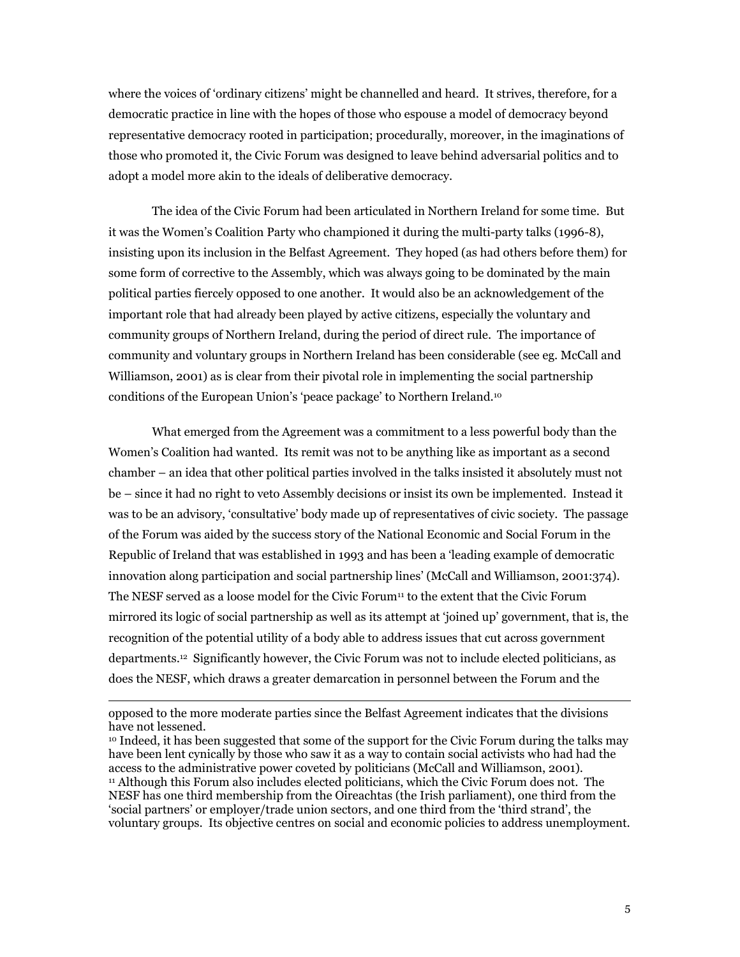where the voices of 'ordinary citizens' might be channelled and heard. It strives, therefore, for a democratic practice in line with the hopes of those who espouse a model of democracy beyond representative democracy rooted in participation; procedurally, moreover, in the imaginations of those who promoted it, the Civic Forum was designed to leave behind adversarial politics and to adopt a model more akin to the ideals of deliberative democracy.

The idea of the Civic Forum had been articulated in Northern Ireland for some time. But it was the Women's Coalition Party who championed it during the multi-party talks (1996-8), insisting upon its inclusion in the Belfast Agreement. They hoped (as had others before them) for some form of corrective to the Assembly, which was always going to be dominated by the main political parties fiercely opposed to one another. It would also be an acknowledgement of the important role that had already been played by active citizens, especially the voluntary and community groups of Northern Ireland, during the period of direct rule. The importance of community and voluntary groups in Northern Ireland has been considerable (see eg. McCall and Williamson, 2001) as is clear from their pivotal role in implementing the social partnership conditions of the European Union's 'peace package' to Northern Ireland.10

What emerged from the Agreement was a commitment to a less powerful body than the Women's Coalition had wanted. Its remit was not to be anything like as important as a second chamber – an idea that other political parties involved in the talks insisted it absolutely must not be – since it had no right to veto Assembly decisions or insist its own be implemented. Instead it was to be an advisory, 'consultative' body made up of representatives of civic society. The passage of the Forum was aided by the success story of the National Economic and Social Forum in the Republic of Ireland that was established in 1993 and has been a 'leading example of democratic innovation along participation and social partnership lines' (McCall and Williamson, 2001:374). The NESF served as a loose model for the Civic Forum<sup>11</sup> to the extent that the Civic Forum mirrored its logic of social partnership as well as its attempt at 'joined up' government, that is, the recognition of the potential utility of a body able to address issues that cut across government departments.12 Significantly however, the Civic Forum was not to include elected politicians, as does the NESF, which draws a greater demarcation in personnel between the Forum and the

opposed to the more moderate parties since the Belfast Agreement indicates that the divisions have not lessened.

<sup>&</sup>lt;sup>10</sup> Indeed, it has been suggested that some of the support for the Civic Forum during the talks may have been lent cynically by those who saw it as a way to contain social activists who had had the access to the administrative power coveted by politicians (McCall and Williamson, 2001). 11 Although this Forum also includes elected politicians, which the Civic Forum does not. The NESF has one third membership from the Oireachtas (the Irish parliament), one third from the 'social partners' or employer/trade union sectors, and one third from the 'third strand', the voluntary groups. Its objective centres on social and economic policies to address unemployment.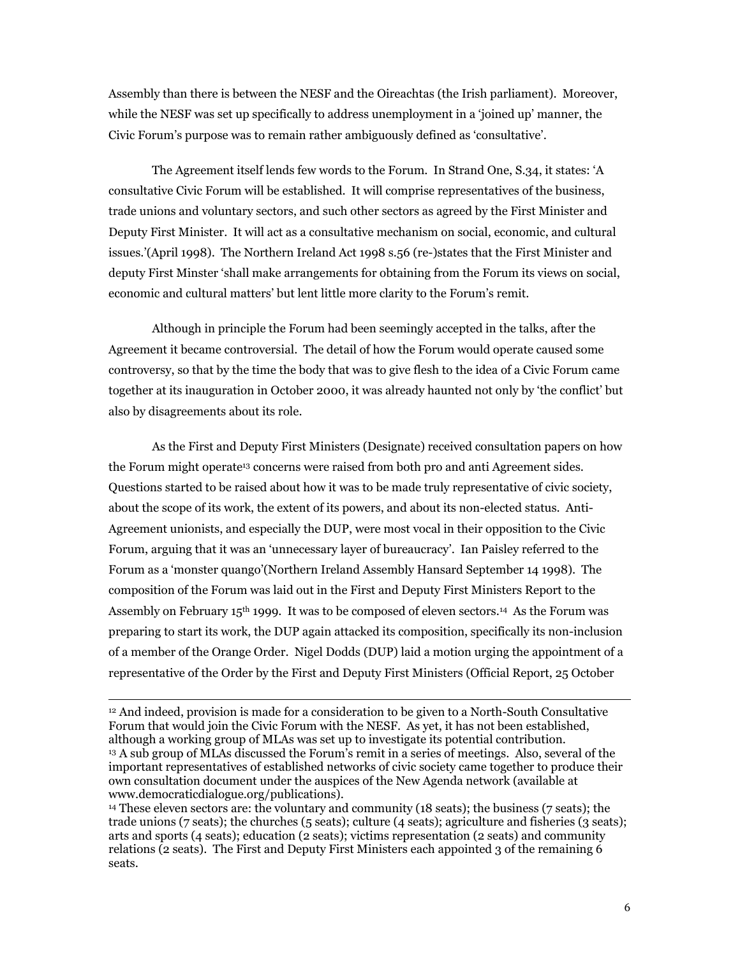Assembly than there is between the NESF and the Oireachtas (the Irish parliament). Moreover, while the NESF was set up specifically to address unemployment in a 'joined up' manner, the Civic Forum's purpose was to remain rather ambiguously defined as 'consultative'.

The Agreement itself lends few words to the Forum. In Strand One, S.34, it states: 'A consultative Civic Forum will be established. It will comprise representatives of the business, trade unions and voluntary sectors, and such other sectors as agreed by the First Minister and Deputy First Minister. It will act as a consultative mechanism on social, economic, and cultural issues.'(April 1998). The Northern Ireland Act 1998 s.56 (re-)states that the First Minister and deputy First Minster 'shall make arrangements for obtaining from the Forum its views on social, economic and cultural matters' but lent little more clarity to the Forum's remit.

Although in principle the Forum had been seemingly accepted in the talks, after the Agreement it became controversial. The detail of how the Forum would operate caused some controversy, so that by the time the body that was to give flesh to the idea of a Civic Forum came together at its inauguration in October 2000, it was already haunted not only by 'the conflict' but also by disagreements about its role.

As the First and Deputy First Ministers (Designate) received consultation papers on how the Forum might operate13 concerns were raised from both pro and anti Agreement sides. Questions started to be raised about how it was to be made truly representative of civic society, about the scope of its work, the extent of its powers, and about its non-elected status. Anti-Agreement unionists, and especially the DUP, were most vocal in their opposition to the Civic Forum, arguing that it was an 'unnecessary layer of bureaucracy'. Ian Paisley referred to the Forum as a 'monster quango'(Northern Ireland Assembly Hansard September 14 1998). The composition of the Forum was laid out in the First and Deputy First Ministers Report to the Assembly on February 15<sup>th</sup> 1999. It was to be composed of eleven sectors.<sup>14</sup> As the Forum was preparing to start its work, the DUP again attacked its composition, specifically its non-inclusion of a member of the Orange Order. Nigel Dodds (DUP) laid a motion urging the appointment of a representative of the Order by the First and Deputy First Ministers (Official Report, 25 October

 <sup>12</sup> And indeed, provision is made for a consideration to be given to a North-South Consultative Forum that would join the Civic Forum with the NESF. As yet, it has not been established, although a working group of MLAs was set up to investigate its potential contribution. 13 A sub group of MLAs discussed the Forum's remit in a series of meetings. Also, several of the important representatives of established networks of civic society came together to produce their own consultation document under the auspices of the New Agenda network (available at www.democraticdialogue.org/publications).

<sup>14</sup> These eleven sectors are: the voluntary and community (18 seats); the business (7 seats); the trade unions (7 seats); the churches (5 seats); culture (4 seats); agriculture and fisheries (3 seats); arts and sports (4 seats); education (2 seats); victims representation (2 seats) and community relations (2 seats). The First and Deputy First Ministers each appointed 3 of the remaining 6 seats.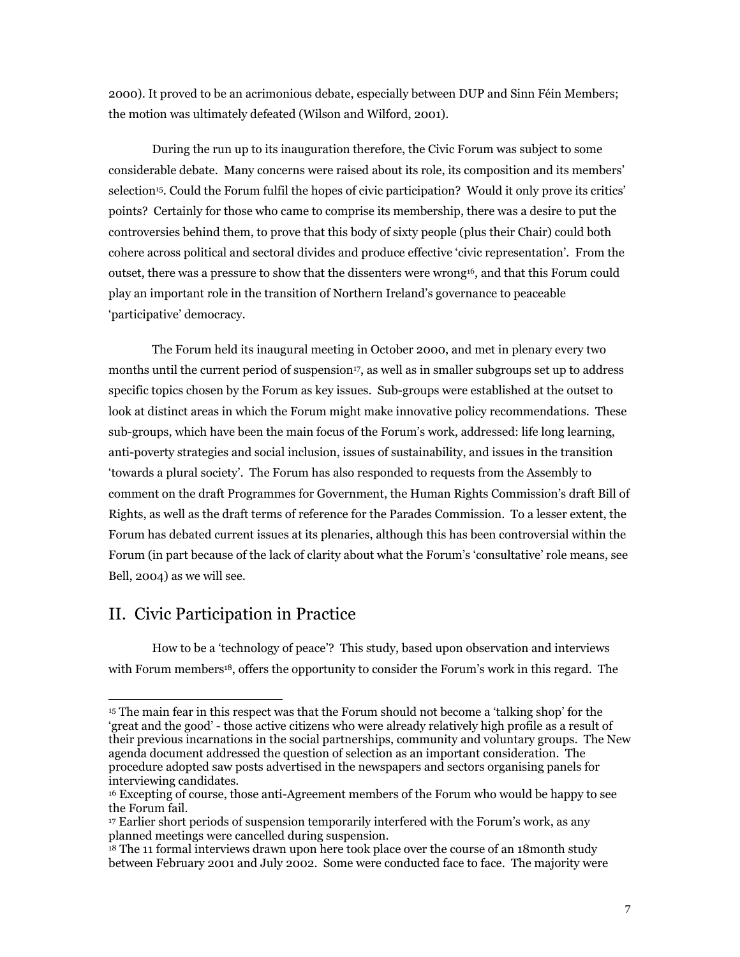2000). It proved to be an acrimonious debate, especially between DUP and Sinn Féin Members; the motion was ultimately defeated (Wilson and Wilford, 2001).

During the run up to its inauguration therefore, the Civic Forum was subject to some considerable debate. Many concerns were raised about its role, its composition and its members' selection<sup>15</sup>. Could the Forum fulfil the hopes of civic participation? Would it only prove its critics' points? Certainly for those who came to comprise its membership, there was a desire to put the controversies behind them, to prove that this body of sixty people (plus their Chair) could both cohere across political and sectoral divides and produce effective 'civic representation'. From the outset, there was a pressure to show that the dissenters were wrong<sup>16</sup>, and that this Forum could play an important role in the transition of Northern Ireland's governance to peaceable 'participative' democracy.

The Forum held its inaugural meeting in October 2000, and met in plenary every two months until the current period of suspension<sup>17</sup>, as well as in smaller subgroups set up to address specific topics chosen by the Forum as key issues. Sub-groups were established at the outset to look at distinct areas in which the Forum might make innovative policy recommendations. These sub-groups, which have been the main focus of the Forum's work, addressed: life long learning, anti-poverty strategies and social inclusion, issues of sustainability, and issues in the transition 'towards a plural society'. The Forum has also responded to requests from the Assembly to comment on the draft Programmes for Government, the Human Rights Commission's draft Bill of Rights, as well as the draft terms of reference for the Parades Commission. To a lesser extent, the Forum has debated current issues at its plenaries, although this has been controversial within the Forum (in part because of the lack of clarity about what the Forum's 'consultative' role means, see Bell, 2004) as we will see.

## II. Civic Participation in Practice

-

How to be a 'technology of peace'? This study, based upon observation and interviews with Forum members<sup>18</sup>, offers the opportunity to consider the Forum's work in this regard. The

<sup>15</sup> The main fear in this respect was that the Forum should not become a 'talking shop' for the 'great and the good' - those active citizens who were already relatively high profile as a result of their previous incarnations in the social partnerships, community and voluntary groups. The New agenda document addressed the question of selection as an important consideration. The procedure adopted saw posts advertised in the newspapers and sectors organising panels for interviewing candidates.

<sup>16</sup> Excepting of course, those anti-Agreement members of the Forum who would be happy to see the Forum fail.

<sup>17</sup> Earlier short periods of suspension temporarily interfered with the Forum's work, as any planned meetings were cancelled during suspension.

<sup>&</sup>lt;sup>18</sup> The 11 formal interviews drawn upon here took place over the course of an 18month study between February 2001 and July 2002. Some were conducted face to face. The majority were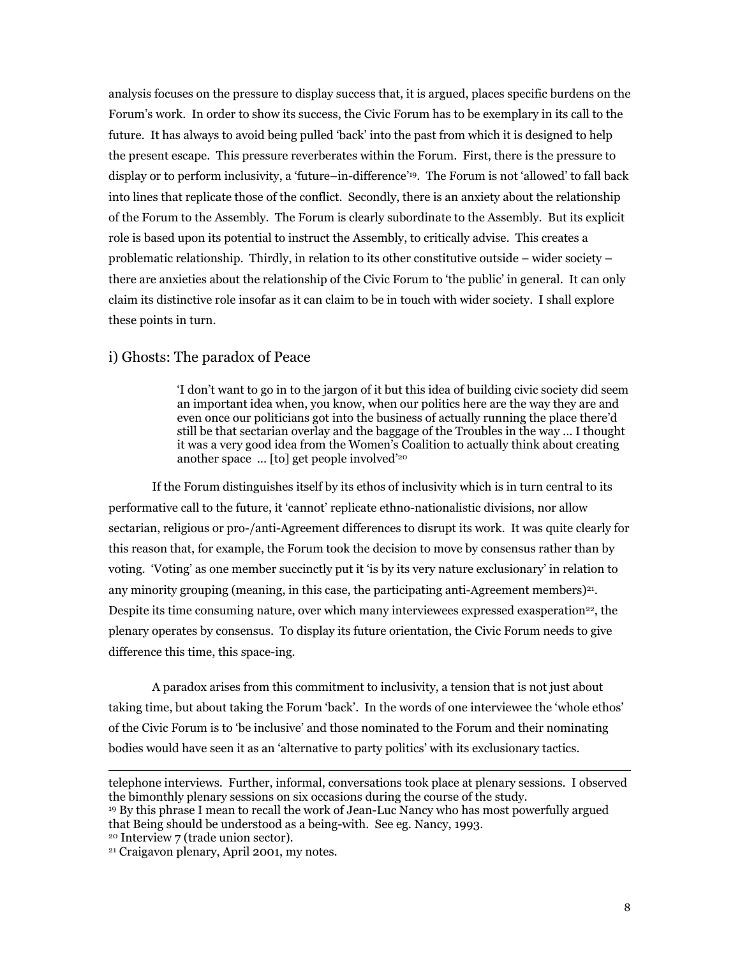analysis focuses on the pressure to display success that, it is argued, places specific burdens on the Forum's work. In order to show its success, the Civic Forum has to be exemplary in its call to the future. It has always to avoid being pulled 'back' into the past from which it is designed to help the present escape. This pressure reverberates within the Forum. First, there is the pressure to display or to perform inclusivity, a 'future–in-difference'19. The Forum is not 'allowed' to fall back into lines that replicate those of the conflict. Secondly, there is an anxiety about the relationship of the Forum to the Assembly. The Forum is clearly subordinate to the Assembly. But its explicit role is based upon its potential to instruct the Assembly, to critically advise. This creates a problematic relationship. Thirdly, in relation to its other constitutive outside – wider society – there are anxieties about the relationship of the Civic Forum to 'the public' in general. It can only claim its distinctive role insofar as it can claim to be in touch with wider society. I shall explore these points in turn.

#### i) Ghosts: The paradox of Peace

'I don't want to go in to the jargon of it but this idea of building civic society did seem an important idea when, you know, when our politics here are the way they are and even once our politicians got into the business of actually running the place there'd still be that sectarian overlay and the baggage of the Troubles in the way ... I thought it was a very good idea from the Women's Coalition to actually think about creating another space … [to] get people involved'20

If the Forum distinguishes itself by its ethos of inclusivity which is in turn central to its performative call to the future, it 'cannot' replicate ethno-nationalistic divisions, nor allow sectarian, religious or pro-/anti-Agreement differences to disrupt its work. It was quite clearly for this reason that, for example, the Forum took the decision to move by consensus rather than by voting. 'Voting' as one member succinctly put it 'is by its very nature exclusionary' in relation to any minority grouping (meaning, in this case, the participating anti-Agreement members) $21$ . Despite its time consuming nature, over which many interviewees expressed exasperation<sup>22</sup>, the plenary operates by consensus. To display its future orientation, the Civic Forum needs to give difference this time, this space-ing.

A paradox arises from this commitment to inclusivity, a tension that is not just about taking time, but about taking the Forum 'back'. In the words of one interviewee the 'whole ethos' of the Civic Forum is to 'be inclusive' and those nominated to the Forum and their nominating bodies would have seen it as an 'alternative to party politics' with its exclusionary tactics.

1

telephone interviews. Further, informal, conversations took place at plenary sessions. I observed the bimonthly plenary sessions on six occasions during the course of the study.

<sup>19</sup> By this phrase I mean to recall the work of Jean-Luc Nancy who has most powerfully argued that Being should be understood as a being-with. See eg. Nancy, 1993.

<sup>20</sup> Interview 7 (trade union sector).

<sup>21</sup> Craigavon plenary, April 2001, my notes.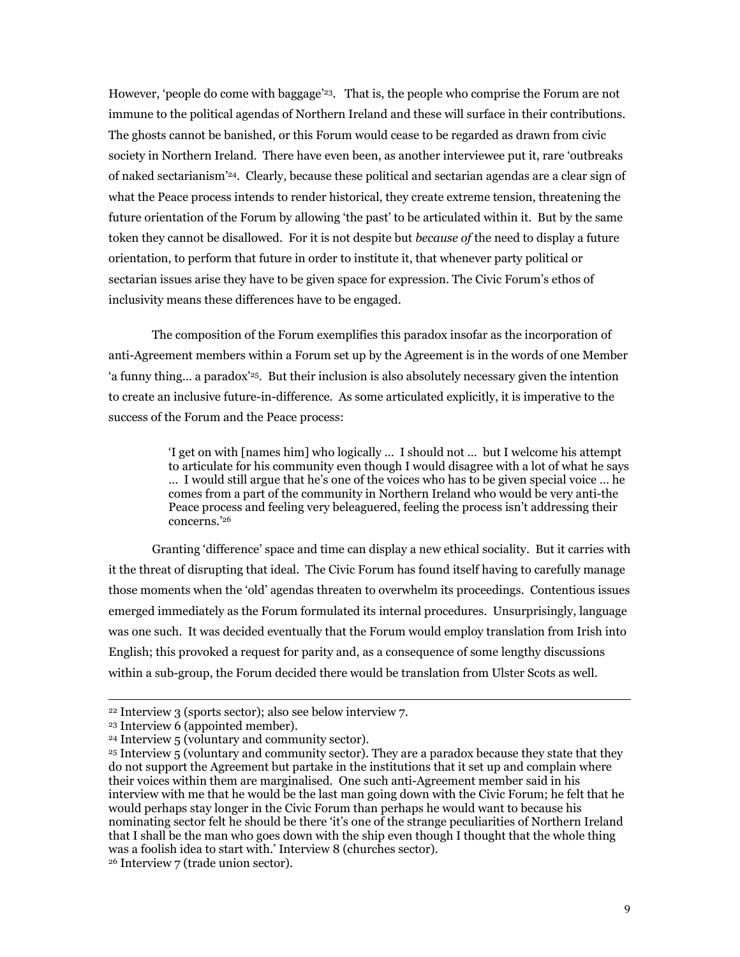However, 'people do come with baggage'<sup>23</sup>. That is, the people who comprise the Forum are not immune to the political agendas of Northern Ireland and these will surface in their contributions. The ghosts cannot be banished, or this Forum would cease to be regarded as drawn from civic society in Northern Ireland. There have even been, as another interviewee put it, rare 'outbreaks of naked sectarianism'24. Clearly, because these political and sectarian agendas are a clear sign of what the Peace process intends to render historical, they create extreme tension, threatening the future orientation of the Forum by allowing 'the past' to be articulated within it. But by the same token they cannot be disallowed. For it is not despite but *because of* the need to display a future orientation, to perform that future in order to institute it, that whenever party political or sectarian issues arise they have to be given space for expression. The Civic Forum's ethos of inclusivity means these differences have to be engaged.

The composition of the Forum exemplifies this paradox insofar as the incorporation of anti-Agreement members within a Forum set up by the Agreement is in the words of one Member 'a funny thing… a paradox'25. But their inclusion is also absolutely necessary given the intention to create an inclusive future-in-difference. As some articulated explicitly, it is imperative to the success of the Forum and the Peace process:

> 'I get on with [names him] who logically … I should not … but I welcome his attempt to articulate for his community even though I would disagree with a lot of what he says … I would still argue that he's one of the voices who has to be given special voice … he comes from a part of the community in Northern Ireland who would be very anti-the Peace process and feeling very beleaguered, feeling the process isn't addressing their concerns.'26

Granting 'difference' space and time can display a new ethical sociality. But it carries with it the threat of disrupting that ideal. The Civic Forum has found itself having to carefully manage those moments when the 'old' agendas threaten to overwhelm its proceedings. Contentious issues emerged immediately as the Forum formulated its internal procedures. Unsurprisingly, language was one such. It was decided eventually that the Forum would employ translation from Irish into English; this provoked a request for parity and, as a consequence of some lengthy discussions within a sub-group, the Forum decided there would be translation from Ulster Scots as well.

 <sup>22</sup> Interview 3 (sports sector); also see below interview 7.

<sup>23</sup> Interview 6 (appointed member).

<sup>24</sup> Interview 5 (voluntary and community sector).

<sup>25</sup> Interview 5 (voluntary and community sector). They are a paradox because they state that they do not support the Agreement but partake in the institutions that it set up and complain where their voices within them are marginalised. One such anti-Agreement member said in his interview with me that he would be the last man going down with the Civic Forum; he felt that he would perhaps stay longer in the Civic Forum than perhaps he would want to because his nominating sector felt he should be there 'it's one of the strange peculiarities of Northern Ireland that I shall be the man who goes down with the ship even though I thought that the whole thing was a foolish idea to start with.' Interview 8 (churches sector).

<sup>26</sup> Interview 7 (trade union sector).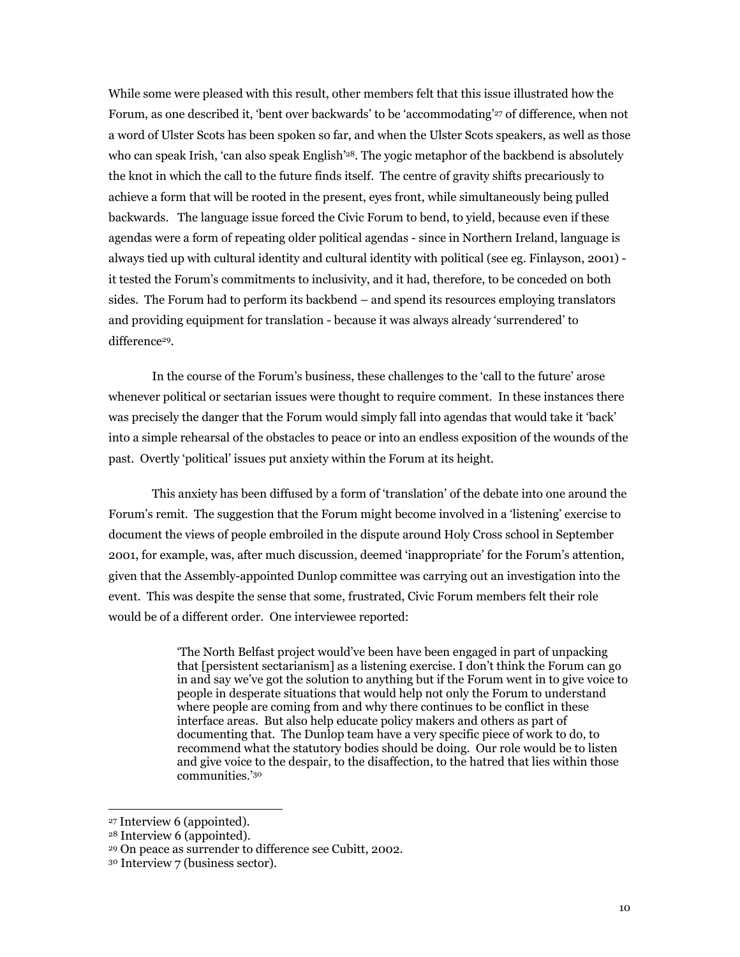While some were pleased with this result, other members felt that this issue illustrated how the Forum, as one described it, 'bent over backwards' to be 'accommodating'27 of difference, when not a word of Ulster Scots has been spoken so far, and when the Ulster Scots speakers, as well as those who can speak Irish, 'can also speak English'<sup>28</sup>. The yogic metaphor of the backbend is absolutely the knot in which the call to the future finds itself. The centre of gravity shifts precariously to achieve a form that will be rooted in the present, eyes front, while simultaneously being pulled backwards. The language issue forced the Civic Forum to bend, to yield, because even if these agendas were a form of repeating older political agendas - since in Northern Ireland, language is always tied up with cultural identity and cultural identity with political (see eg. Finlayson, 2001) it tested the Forum's commitments to inclusivity, and it had, therefore, to be conceded on both sides. The Forum had to perform its backbend – and spend its resources employing translators and providing equipment for translation - because it was always already 'surrendered' to difference<sup>29</sup>.

In the course of the Forum's business, these challenges to the 'call to the future' arose whenever political or sectarian issues were thought to require comment. In these instances there was precisely the danger that the Forum would simply fall into agendas that would take it 'back' into a simple rehearsal of the obstacles to peace or into an endless exposition of the wounds of the past. Overtly 'political' issues put anxiety within the Forum at its height.

This anxiety has been diffused by a form of 'translation' of the debate into one around the Forum's remit. The suggestion that the Forum might become involved in a 'listening' exercise to document the views of people embroiled in the dispute around Holy Cross school in September 2001, for example, was, after much discussion, deemed 'inappropriate' for the Forum's attention, given that the Assembly-appointed Dunlop committee was carrying out an investigation into the event. This was despite the sense that some, frustrated, Civic Forum members felt their role would be of a different order. One interviewee reported:

> 'The North Belfast project would've been have been engaged in part of unpacking that [persistent sectarianism] as a listening exercise. I don't think the Forum can go in and say we've got the solution to anything but if the Forum went in to give voice to people in desperate situations that would help not only the Forum to understand where people are coming from and why there continues to be conflict in these interface areas. But also help educate policy makers and others as part of documenting that. The Dunlop team have a very specific piece of work to do, to recommend what the statutory bodies should be doing. Our role would be to listen and give voice to the despair, to the disaffection, to the hatred that lies within those communities.'30

<sup>27</sup> Interview 6 (appointed).

<sup>28</sup> Interview 6 (appointed).

<sup>29</sup> On peace as surrender to difference see Cubitt, 2002.

<sup>30</sup> Interview 7 (business sector).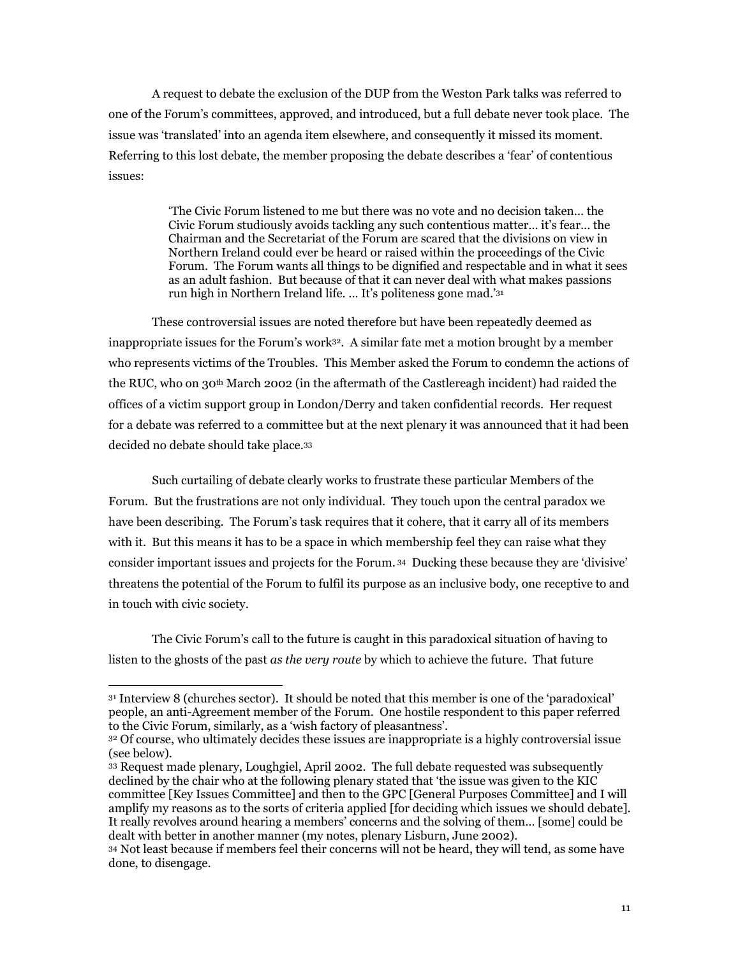A request to debate the exclusion of the DUP from the Weston Park talks was referred to one of the Forum's committees, approved, and introduced, but a full debate never took place. The issue was 'translated' into an agenda item elsewhere, and consequently it missed its moment. Referring to this lost debate, the member proposing the debate describes a 'fear' of contentious issues:

> 'The Civic Forum listened to me but there was no vote and no decision taken… the Civic Forum studiously avoids tackling any such contentious matter… it's fear… the Chairman and the Secretariat of the Forum are scared that the divisions on view in Northern Ireland could ever be heard or raised within the proceedings of the Civic Forum. The Forum wants all things to be dignified and respectable and in what it sees as an adult fashion. But because of that it can never deal with what makes passions run high in Northern Ireland life. ... It's politeness gone mad.'31

These controversial issues are noted therefore but have been repeatedly deemed as inappropriate issues for the Forum's work32. A similar fate met a motion brought by a member who represents victims of the Troubles. This Member asked the Forum to condemn the actions of the RUC, who on 30th March 2002 (in the aftermath of the Castlereagh incident) had raided the offices of a victim support group in London/Derry and taken confidential records. Her request for a debate was referred to a committee but at the next plenary it was announced that it had been decided no debate should take place.33

Such curtailing of debate clearly works to frustrate these particular Members of the Forum. But the frustrations are not only individual. They touch upon the central paradox we have been describing. The Forum's task requires that it cohere, that it carry all of its members with it. But this means it has to be a space in which membership feel they can raise what they consider important issues and projects for the Forum. 34 Ducking these because they are 'divisive' threatens the potential of the Forum to fulfil its purpose as an inclusive body, one receptive to and in touch with civic society.

The Civic Forum's call to the future is caught in this paradoxical situation of having to listen to the ghosts of the past *as the very route* by which to achieve the future. That future

<sup>31</sup> Interview 8 (churches sector). It should be noted that this member is one of the 'paradoxical' people, an anti-Agreement member of the Forum. One hostile respondent to this paper referred to the Civic Forum, similarly, as a 'wish factory of pleasantness'.

<sup>32</sup> Of course, who ultimately decides these issues are inappropriate is a highly controversial issue (see below).

<sup>33</sup> Request made plenary, Loughgiel, April 2002. The full debate requested was subsequently declined by the chair who at the following plenary stated that 'the issue was given to the KIC committee [Key Issues Committee] and then to the GPC [General Purposes Committee] and I will amplify my reasons as to the sorts of criteria applied [for deciding which issues we should debate]. It really revolves around hearing a members' concerns and the solving of them… [some] could be dealt with better in another manner (my notes, plenary Lisburn, June 2002).

<sup>34</sup> Not least because if members feel their concerns will not be heard, they will tend, as some have done, to disengage.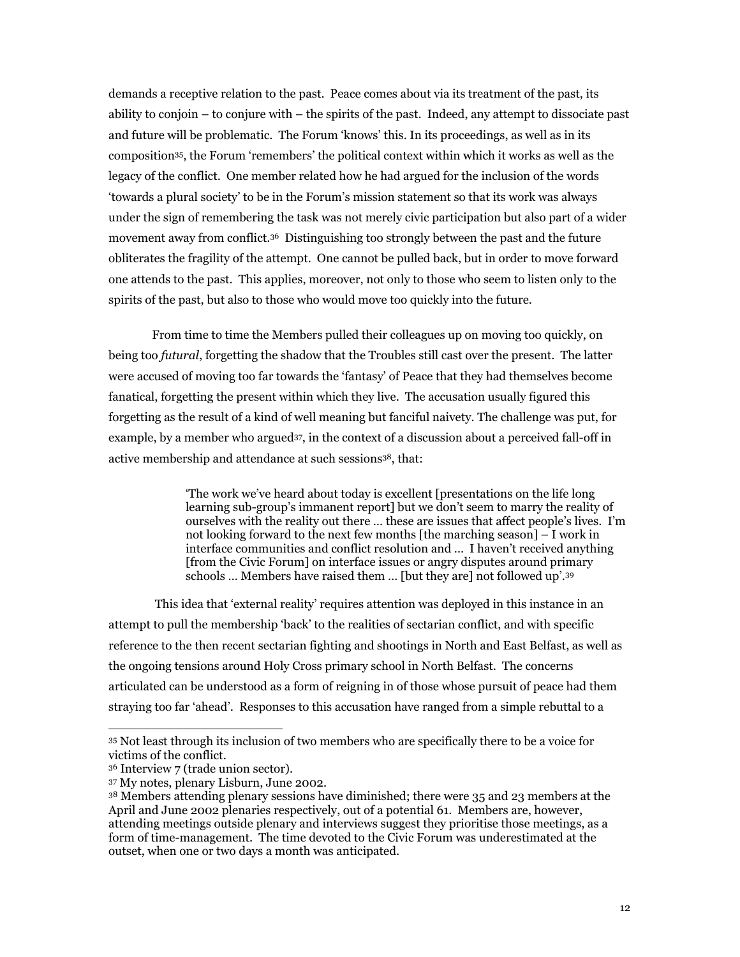demands a receptive relation to the past. Peace comes about via its treatment of the past, its ability to conjoin – to conjure with – the spirits of the past. Indeed, any attempt to dissociate past and future will be problematic. The Forum 'knows' this. In its proceedings, as well as in its composition35, the Forum 'remembers' the political context within which it works as well as the legacy of the conflict. One member related how he had argued for the inclusion of the words 'towards a plural society' to be in the Forum's mission statement so that its work was always under the sign of remembering the task was not merely civic participation but also part of a wider movement away from conflict.36 Distinguishing too strongly between the past and the future obliterates the fragility of the attempt. One cannot be pulled back, but in order to move forward one attends to the past. This applies, moreover, not only to those who seem to listen only to the spirits of the past, but also to those who would move too quickly into the future.

From time to time the Members pulled their colleagues up on moving too quickly, on being too *futural*, forgetting the shadow that the Troubles still cast over the present. The latter were accused of moving too far towards the 'fantasy' of Peace that they had themselves become fanatical, forgetting the present within which they live. The accusation usually figured this forgetting as the result of a kind of well meaning but fanciful naivety. The challenge was put, for example, by a member who argued<sup>37</sup>, in the context of a discussion about a perceived fall-off in active membership and attendance at such sessions<sup>38</sup>, that:

> 'The work we've heard about today is excellent [presentations on the life long learning sub-group's immanent report] but we don't seem to marry the reality of ourselves with the reality out there … these are issues that affect people's lives. I'm not looking forward to the next few months [the marching season] – I work in interface communities and conflict resolution and … I haven't received anything [from the Civic Forum] on interface issues or angry disputes around primary schools … Members have raised them … [but they are] not followed up'.39

 This idea that 'external reality' requires attention was deployed in this instance in an attempt to pull the membership 'back' to the realities of sectarian conflict, and with specific reference to the then recent sectarian fighting and shootings in North and East Belfast, as well as the ongoing tensions around Holy Cross primary school in North Belfast. The concerns articulated can be understood as a form of reigning in of those whose pursuit of peace had them straying too far 'ahead'. Responses to this accusation have ranged from a simple rebuttal to a

<sup>35</sup> Not least through its inclusion of two members who are specifically there to be a voice for victims of the conflict.

<sup>36</sup> Interview 7 (trade union sector).

<sup>37</sup> My notes, plenary Lisburn, June 2002.

<sup>38</sup> Members attending plenary sessions have diminished; there were 35 and 23 members at the April and June 2002 plenaries respectively, out of a potential 61. Members are, however, attending meetings outside plenary and interviews suggest they prioritise those meetings, as a form of time-management. The time devoted to the Civic Forum was underestimated at the outset, when one or two days a month was anticipated.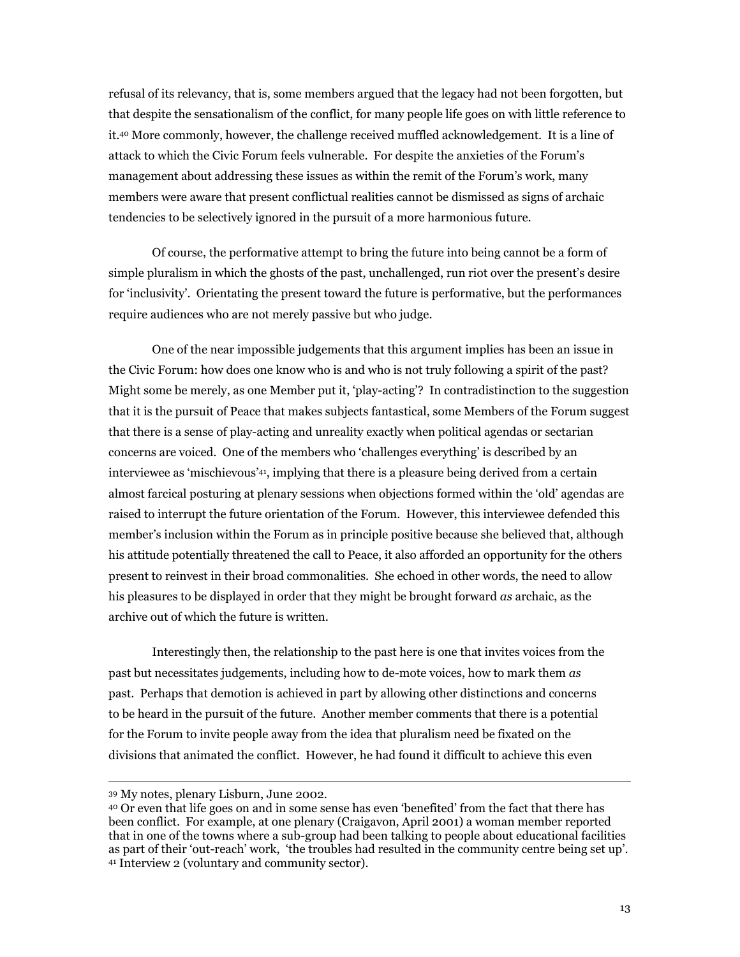refusal of its relevancy, that is, some members argued that the legacy had not been forgotten, but that despite the sensationalism of the conflict, for many people life goes on with little reference to it.40 More commonly, however, the challenge received muffled acknowledgement. It is a line of attack to which the Civic Forum feels vulnerable. For despite the anxieties of the Forum's management about addressing these issues as within the remit of the Forum's work, many members were aware that present conflictual realities cannot be dismissed as signs of archaic tendencies to be selectively ignored in the pursuit of a more harmonious future.

Of course, the performative attempt to bring the future into being cannot be a form of simple pluralism in which the ghosts of the past, unchallenged, run riot over the present's desire for 'inclusivity'. Orientating the present toward the future is performative, but the performances require audiences who are not merely passive but who judge.

One of the near impossible judgements that this argument implies has been an issue in the Civic Forum: how does one know who is and who is not truly following a spirit of the past? Might some be merely, as one Member put it, 'play-acting'? In contradistinction to the suggestion that it is the pursuit of Peace that makes subjects fantastical, some Members of the Forum suggest that there is a sense of play-acting and unreality exactly when political agendas or sectarian concerns are voiced. One of the members who 'challenges everything' is described by an interviewee as 'mischievous'41, implying that there is a pleasure being derived from a certain almost farcical posturing at plenary sessions when objections formed within the 'old' agendas are raised to interrupt the future orientation of the Forum. However, this interviewee defended this member's inclusion within the Forum as in principle positive because she believed that, although his attitude potentially threatened the call to Peace, it also afforded an opportunity for the others present to reinvest in their broad commonalities. She echoed in other words, the need to allow his pleasures to be displayed in order that they might be brought forward *as* archaic, as the archive out of which the future is written.

Interestingly then, the relationship to the past here is one that invites voices from the past but necessitates judgements, including how to de-mote voices, how to mark them *as* past. Perhaps that demotion is achieved in part by allowing other distinctions and concerns to be heard in the pursuit of the future. Another member comments that there is a potential for the Forum to invite people away from the idea that pluralism need be fixated on the divisions that animated the conflict. However, he had found it difficult to achieve this even

 <sup>39</sup> My notes, plenary Lisburn, June 2002.

<sup>40</sup> Or even that life goes on and in some sense has even 'benefited' from the fact that there has been conflict. For example, at one plenary (Craigavon, April 2001) a woman member reported that in one of the towns where a sub-group had been talking to people about educational facilities as part of their 'out-reach' work, 'the troubles had resulted in the community centre being set up'. 41 Interview 2 (voluntary and community sector).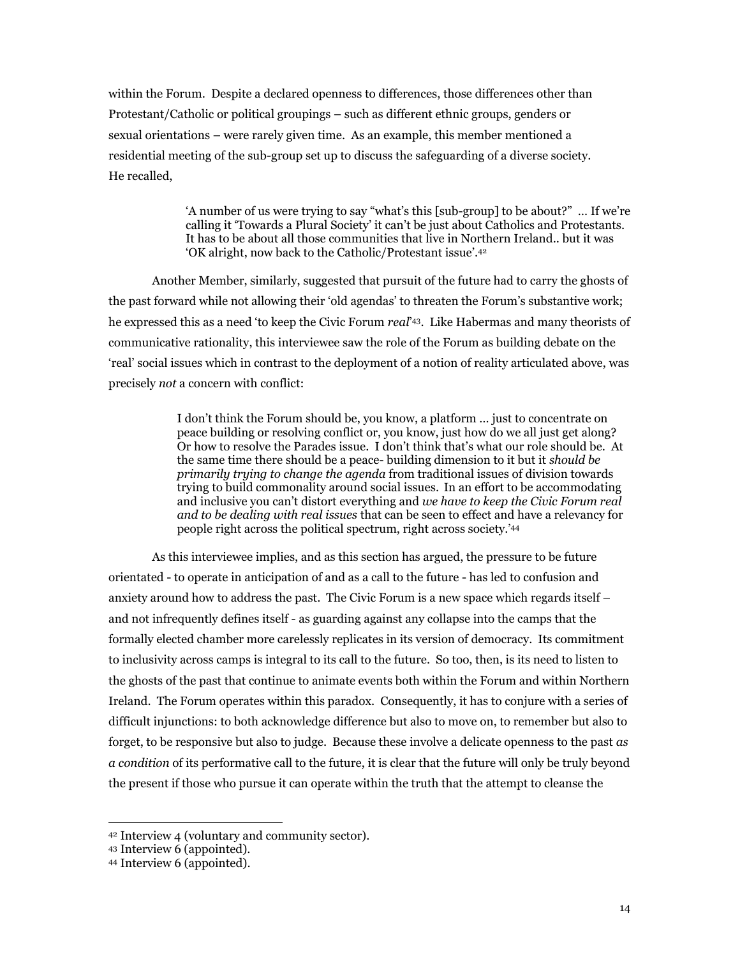within the Forum. Despite a declared openness to differences, those differences other than Protestant/Catholic or political groupings – such as different ethnic groups, genders or sexual orientations – were rarely given time. As an example, this member mentioned a residential meeting of the sub-group set up to discuss the safeguarding of a diverse society. He recalled,

> 'A number of us were trying to say "what's this [sub-group] to be about?" … If we're calling it 'Towards a Plural Society' it can't be just about Catholics and Protestants. It has to be about all those communities that live in Northern Ireland.. but it was 'OK alright, now back to the Catholic/Protestant issue'.42

Another Member, similarly, suggested that pursuit of the future had to carry the ghosts of the past forward while not allowing their 'old agendas' to threaten the Forum's substantive work; he expressed this as a need 'to keep the Civic Forum *real*' 43. Like Habermas and many theorists of communicative rationality, this interviewee saw the role of the Forum as building debate on the 'real' social issues which in contrast to the deployment of a notion of reality articulated above, was precisely *not* a concern with conflict:

> I don't think the Forum should be, you know, a platform … just to concentrate on peace building or resolving conflict or, you know, just how do we all just get along? Or how to resolve the Parades issue. I don't think that's what our role should be. At the same time there should be a peace- building dimension to it but it *should be primarily trying to change the agenda* from traditional issues of division towards trying to build commonality around social issues. In an effort to be accommodating and inclusive you can't distort everything and *we have to keep the Civic Forum real and to be dealing with real issues* that can be seen to effect and have a relevancy for people right across the political spectrum, right across society.'44

As this interviewee implies, and as this section has argued, the pressure to be future orientated - to operate in anticipation of and as a call to the future - has led to confusion and anxiety around how to address the past. The Civic Forum is a new space which regards itself – and not infrequently defines itself - as guarding against any collapse into the camps that the formally elected chamber more carelessly replicates in its version of democracy. Its commitment to inclusivity across camps is integral to its call to the future. So too, then, is its need to listen to the ghosts of the past that continue to animate events both within the Forum and within Northern Ireland. The Forum operates within this paradox. Consequently, it has to conjure with a series of difficult injunctions: to both acknowledge difference but also to move on, to remember but also to forget, to be responsive but also to judge. Because these involve a delicate openness to the past *as a condition* of its performative call to the future, it is clear that the future will only be truly beyond the present if those who pursue it can operate within the truth that the attempt to cleanse the

<sup>42</sup> Interview 4 (voluntary and community sector).

<sup>43</sup> Interview 6 (appointed).

<sup>44</sup> Interview 6 (appointed).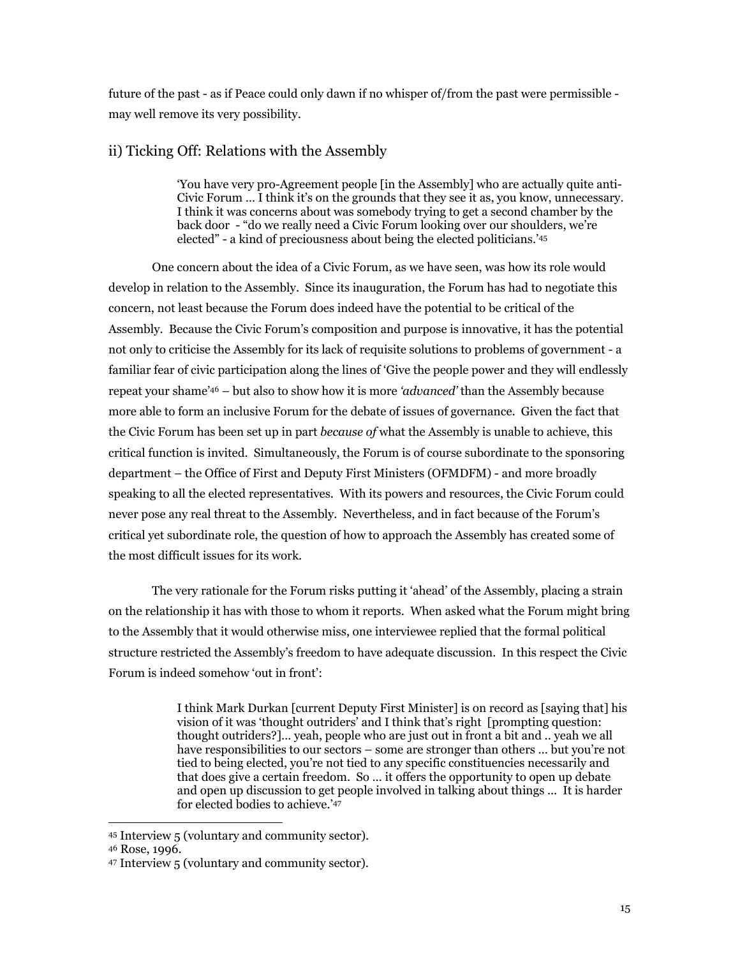future of the past - as if Peace could only dawn if no whisper of/from the past were permissible may well remove its very possibility.

#### ii) Ticking Off: Relations with the Assembly

'You have very pro-Agreement people [in the Assembly] who are actually quite anti-Civic Forum … I think it's on the grounds that they see it as, you know, unnecessary. I think it was concerns about was somebody trying to get a second chamber by the back door - "do we really need a Civic Forum looking over our shoulders, we're elected" - a kind of preciousness about being the elected politicians.'45

One concern about the idea of a Civic Forum, as we have seen, was how its role would develop in relation to the Assembly. Since its inauguration, the Forum has had to negotiate this concern, not least because the Forum does indeed have the potential to be critical of the Assembly. Because the Civic Forum's composition and purpose is innovative, it has the potential not only to criticise the Assembly for its lack of requisite solutions to problems of government - a familiar fear of civic participation along the lines of 'Give the people power and they will endlessly repeat your shame'46 – but also to show how it is more *'advanced'* than the Assembly because more able to form an inclusive Forum for the debate of issues of governance. Given the fact that the Civic Forum has been set up in part *because of* what the Assembly is unable to achieve, this critical function is invited. Simultaneously, the Forum is of course subordinate to the sponsoring department – the Office of First and Deputy First Ministers (OFMDFM) - and more broadly speaking to all the elected representatives. With its powers and resources, the Civic Forum could never pose any real threat to the Assembly. Nevertheless, and in fact because of the Forum's critical yet subordinate role, the question of how to approach the Assembly has created some of the most difficult issues for its work.

The very rationale for the Forum risks putting it 'ahead' of the Assembly, placing a strain on the relationship it has with those to whom it reports. When asked what the Forum might bring to the Assembly that it would otherwise miss, one interviewee replied that the formal political structure restricted the Assembly's freedom to have adequate discussion. In this respect the Civic Forum is indeed somehow 'out in front':

> I think Mark Durkan [current Deputy First Minister] is on record as [saying that] his vision of it was 'thought outriders' and I think that's right [prompting question: thought outriders?]… yeah, people who are just out in front a bit and .. yeah we all have responsibilities to our sectors – some are stronger than others … but you're not tied to being elected, you're not tied to any specific constituencies necessarily and that does give a certain freedom. So … it offers the opportunity to open up debate and open up discussion to get people involved in talking about things ... It is harder for elected bodies to achieve.'47

<sup>45</sup> Interview 5 (voluntary and community sector).

<sup>46</sup> Rose, 1996.

<sup>47</sup> Interview 5 (voluntary and community sector).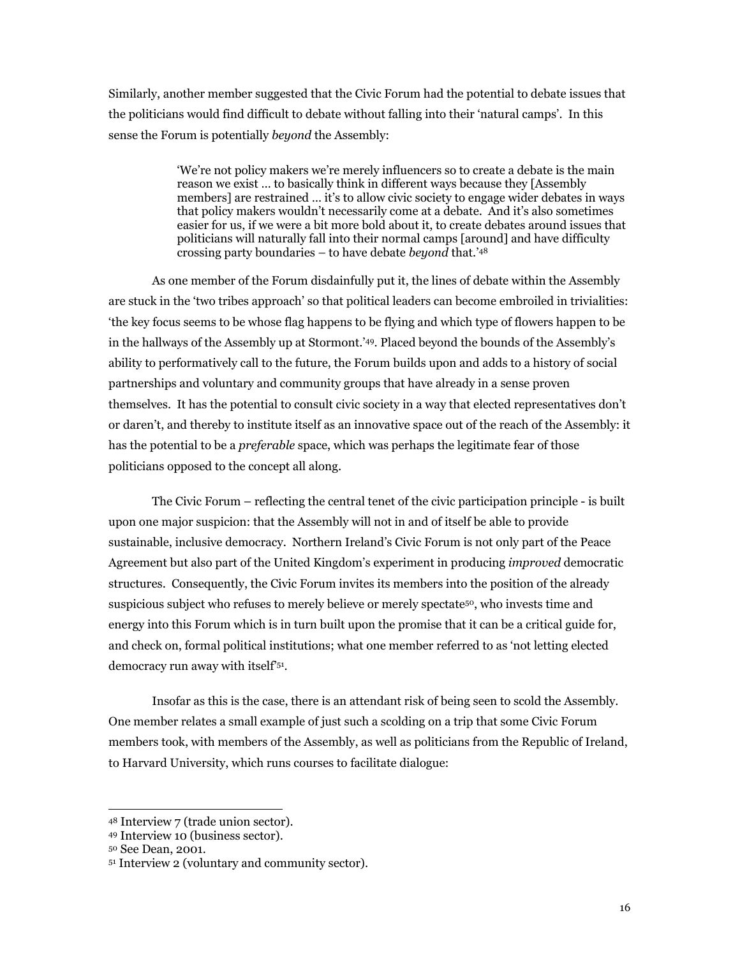Similarly, another member suggested that the Civic Forum had the potential to debate issues that the politicians would find difficult to debate without falling into their 'natural camps'. In this sense the Forum is potentially *beyond* the Assembly:

> 'We're not policy makers we're merely influencers so to create a debate is the main reason we exist … to basically think in different ways because they [Assembly members] are restrained … it's to allow civic society to engage wider debates in ways that policy makers wouldn't necessarily come at a debate. And it's also sometimes easier for us, if we were a bit more bold about it, to create debates around issues that politicians will naturally fall into their normal camps [around] and have difficulty crossing party boundaries *–* to have debate *beyond* that.'48

As one member of the Forum disdainfully put it, the lines of debate within the Assembly are stuck in the 'two tribes approach' so that political leaders can become embroiled in trivialities: 'the key focus seems to be whose flag happens to be flying and which type of flowers happen to be in the hallways of the Assembly up at Stormont.'49. Placed beyond the bounds of the Assembly's ability to performatively call to the future, the Forum builds upon and adds to a history of social partnerships and voluntary and community groups that have already in a sense proven themselves. It has the potential to consult civic society in a way that elected representatives don't or daren't, and thereby to institute itself as an innovative space out of the reach of the Assembly: it has the potential to be a *preferable* space, which was perhaps the legitimate fear of those politicians opposed to the concept all along.

The Civic Forum – reflecting the central tenet of the civic participation principle - is built upon one major suspicion: that the Assembly will not in and of itself be able to provide sustainable, inclusive democracy. Northern Ireland's Civic Forum is not only part of the Peace Agreement but also part of the United Kingdom's experiment in producing *improved* democratic structures. Consequently, the Civic Forum invites its members into the position of the already suspicious subject who refuses to merely believe or merely spectate<sup>50</sup>, who invests time and energy into this Forum which is in turn built upon the promise that it can be a critical guide for, and check on, formal political institutions; what one member referred to as 'not letting elected democracy run away with itself'51.

Insofar as this is the case, there is an attendant risk of being seen to scold the Assembly. One member relates a small example of just such a scolding on a trip that some Civic Forum members took, with members of the Assembly, as well as politicians from the Republic of Ireland, to Harvard University, which runs courses to facilitate dialogue:

<sup>48</sup> Interview 7 (trade union sector).

<sup>49</sup> Interview 10 (business sector).

<sup>50</sup> See Dean, 2001.

<sup>51</sup> Interview 2 (voluntary and community sector).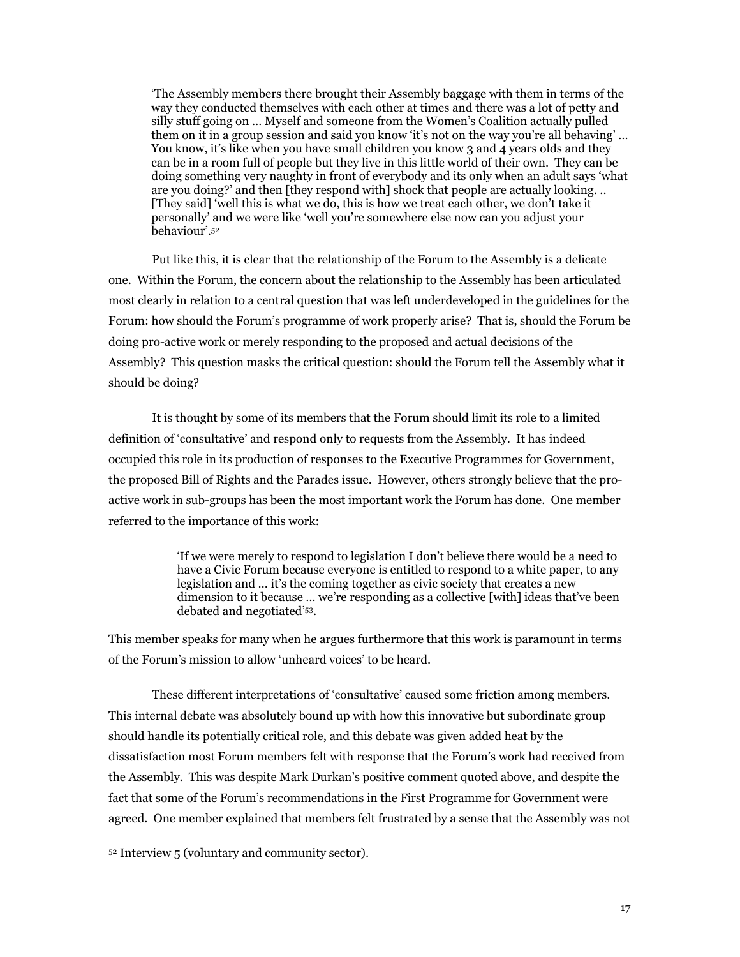'The Assembly members there brought their Assembly baggage with them in terms of the way they conducted themselves with each other at times and there was a lot of petty and silly stuff going on … Myself and someone from the Women's Coalition actually pulled them on it in a group session and said you know 'it's not on the way you're all behaving' … You know, it's like when you have small children you know 3 and 4 years olds and they can be in a room full of people but they live in this little world of their own. They can be doing something very naughty in front of everybody and its only when an adult says 'what are you doing?' and then [they respond with] shock that people are actually looking. .. [They said] 'well this is what we do, this is how we treat each other, we don't take it personally' and we were like 'well you're somewhere else now can you adjust your behaviour'.52

Put like this, it is clear that the relationship of the Forum to the Assembly is a delicate one. Within the Forum, the concern about the relationship to the Assembly has been articulated most clearly in relation to a central question that was left underdeveloped in the guidelines for the Forum: how should the Forum's programme of work properly arise? That is, should the Forum be doing pro-active work or merely responding to the proposed and actual decisions of the Assembly? This question masks the critical question: should the Forum tell the Assembly what it should be doing?

It is thought by some of its members that the Forum should limit its role to a limited definition of 'consultative' and respond only to requests from the Assembly. It has indeed occupied this role in its production of responses to the Executive Programmes for Government, the proposed Bill of Rights and the Parades issue. However, others strongly believe that the proactive work in sub-groups has been the most important work the Forum has done. One member referred to the importance of this work:

> 'If we were merely to respond to legislation I don't believe there would be a need to have a Civic Forum because everyone is entitled to respond to a white paper, to any legislation and … it's the coming together as civic society that creates a new dimension to it because … we're responding as a collective [with] ideas that've been debated and negotiated'53.

This member speaks for many when he argues furthermore that this work is paramount in terms of the Forum's mission to allow 'unheard voices' to be heard.

These different interpretations of 'consultative' caused some friction among members. This internal debate was absolutely bound up with how this innovative but subordinate group should handle its potentially critical role, and this debate was given added heat by the dissatisfaction most Forum members felt with response that the Forum's work had received from the Assembly. This was despite Mark Durkan's positive comment quoted above, and despite the fact that some of the Forum's recommendations in the First Programme for Government were agreed. One member explained that members felt frustrated by a sense that the Assembly was not

<sup>52</sup> Interview 5 (voluntary and community sector).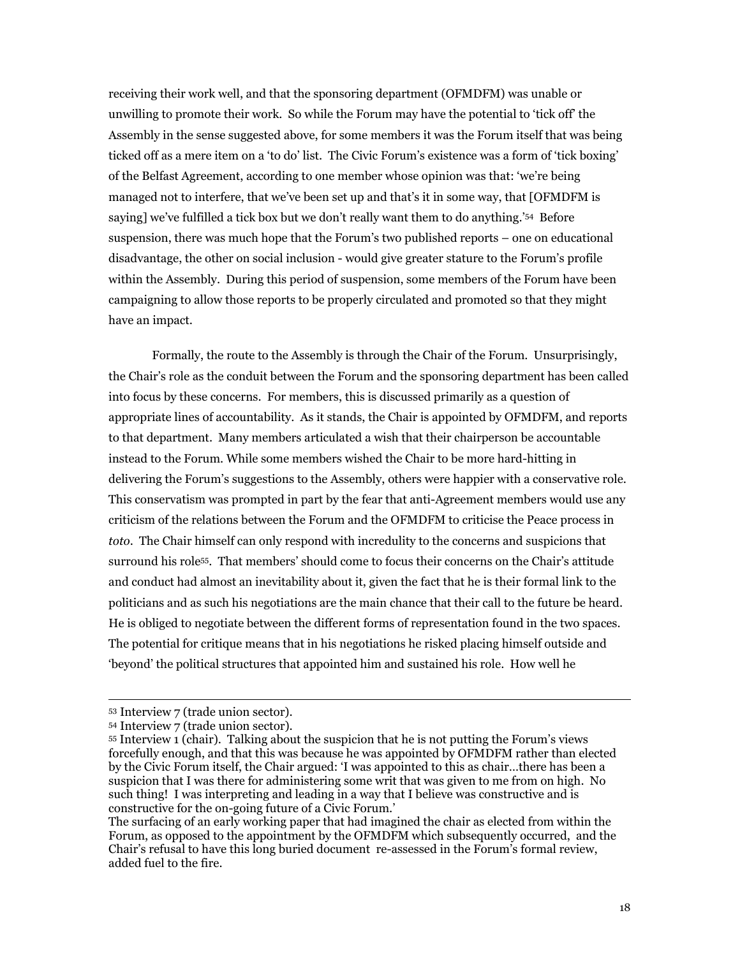receiving their work well, and that the sponsoring department (OFMDFM) was unable or unwilling to promote their work. So while the Forum may have the potential to 'tick off' the Assembly in the sense suggested above, for some members it was the Forum itself that was being ticked off as a mere item on a 'to do' list. The Civic Forum's existence was a form of 'tick boxing' of the Belfast Agreement, according to one member whose opinion was that: 'we're being managed not to interfere, that we've been set up and that's it in some way, that [OFMDFM is saying] we've fulfilled a tick box but we don't really want them to do anything.'54 Before suspension, there was much hope that the Forum's two published reports – one on educational disadvantage, the other on social inclusion - would give greater stature to the Forum's profile within the Assembly. During this period of suspension, some members of the Forum have been campaigning to allow those reports to be properly circulated and promoted so that they might have an impact.

Formally, the route to the Assembly is through the Chair of the Forum. Unsurprisingly, the Chair's role as the conduit between the Forum and the sponsoring department has been called into focus by these concerns. For members, this is discussed primarily as a question of appropriate lines of accountability. As it stands, the Chair is appointed by OFMDFM, and reports to that department. Many members articulated a wish that their chairperson be accountable instead to the Forum. While some members wished the Chair to be more hard-hitting in delivering the Forum's suggestions to the Assembly, others were happier with a conservative role. This conservatism was prompted in part by the fear that anti-Agreement members would use any criticism of the relations between the Forum and the OFMDFM to criticise the Peace process in *toto*. The Chair himself can only respond with incredulity to the concerns and suspicions that surround his role55. That members' should come to focus their concerns on the Chair's attitude and conduct had almost an inevitability about it, given the fact that he is their formal link to the politicians and as such his negotiations are the main chance that their call to the future be heard. He is obliged to negotiate between the different forms of representation found in the two spaces. The potential for critique means that in his negotiations he risked placing himself outside and 'beyond' the political structures that appointed him and sustained his role. How well he

 <sup>53</sup> Interview 7 (trade union sector).

<sup>54</sup> Interview 7 (trade union sector).

<sup>55</sup> Interview 1 (chair). Talking about the suspicion that he is not putting the Forum's views forcefully enough, and that this was because he was appointed by OFMDFM rather than elected by the Civic Forum itself, the Chair argued: 'I was appointed to this as chair…there has been a suspicion that I was there for administering some writ that was given to me from on high. No such thing! I was interpreting and leading in a way that I believe was constructive and is constructive for the on-going future of a Civic Forum.'

The surfacing of an early working paper that had imagined the chair as elected from within the Forum, as opposed to the appointment by the OFMDFM which subsequently occurred, and the Chair's refusal to have this long buried document re-assessed in the Forum's formal review, added fuel to the fire.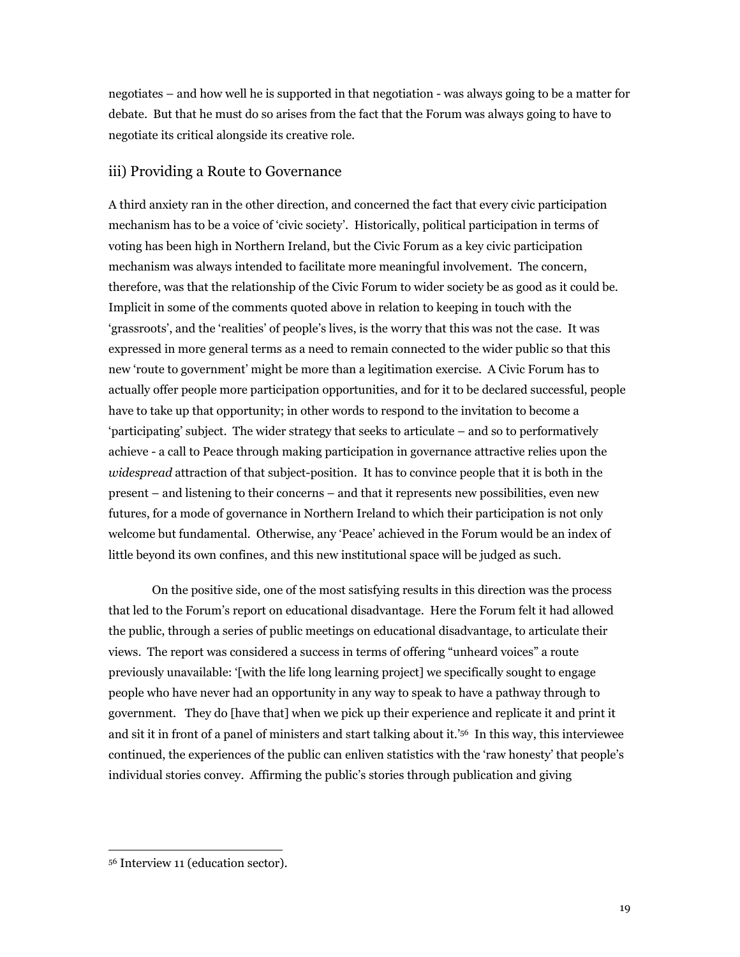negotiates – and how well he is supported in that negotiation - was always going to be a matter for debate. But that he must do so arises from the fact that the Forum was always going to have to negotiate its critical alongside its creative role.

#### iii) Providing a Route to Governance

A third anxiety ran in the other direction, and concerned the fact that every civic participation mechanism has to be a voice of 'civic society'. Historically, political participation in terms of voting has been high in Northern Ireland, but the Civic Forum as a key civic participation mechanism was always intended to facilitate more meaningful involvement. The concern, therefore, was that the relationship of the Civic Forum to wider society be as good as it could be. Implicit in some of the comments quoted above in relation to keeping in touch with the 'grassroots', and the 'realities' of people's lives, is the worry that this was not the case. It was expressed in more general terms as a need to remain connected to the wider public so that this new 'route to government' might be more than a legitimation exercise. A Civic Forum has to actually offer people more participation opportunities, and for it to be declared successful, people have to take up that opportunity; in other words to respond to the invitation to become a 'participating' subject. The wider strategy that seeks to articulate – and so to performatively achieve - a call to Peace through making participation in governance attractive relies upon the *widespread* attraction of that subject-position. It has to convince people that it is both in the present – and listening to their concerns – and that it represents new possibilities, even new futures, for a mode of governance in Northern Ireland to which their participation is not only welcome but fundamental. Otherwise, any 'Peace' achieved in the Forum would be an index of little beyond its own confines, and this new institutional space will be judged as such.

On the positive side, one of the most satisfying results in this direction was the process that led to the Forum's report on educational disadvantage. Here the Forum felt it had allowed the public, through a series of public meetings on educational disadvantage, to articulate their views. The report was considered a success in terms of offering "unheard voices" a route previously unavailable: '[with the life long learning project] we specifically sought to engage people who have never had an opportunity in any way to speak to have a pathway through to government. They do [have that] when we pick up their experience and replicate it and print it and sit it in front of a panel of ministers and start talking about it.'56 In this way, this interviewee continued, the experiences of the public can enliven statistics with the 'raw honesty' that people's individual stories convey. Affirming the public's stories through publication and giving

<sup>56</sup> Interview 11 (education sector).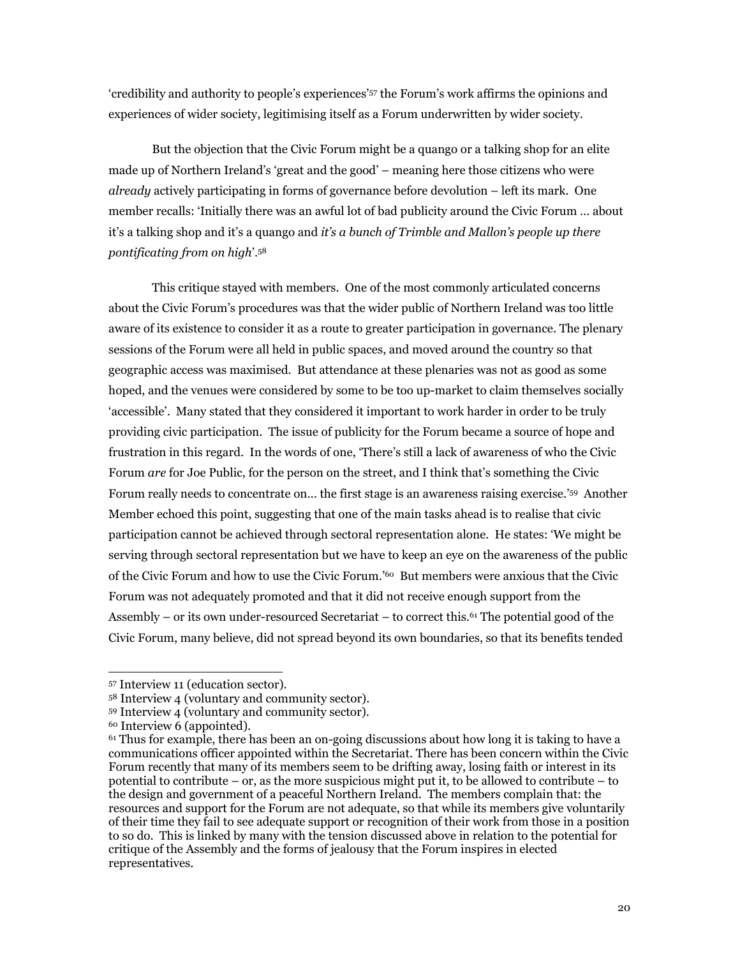'credibility and authority to people's experiences'57 the Forum's work affirms the opinions and experiences of wider society, legitimising itself as a Forum underwritten by wider society.

But the objection that the Civic Forum might be a quango or a talking shop for an elite made up of Northern Ireland's 'great and the good' – meaning here those citizens who were *already* actively participating in forms of governance before devolution – left its mark. One member recalls: 'Initially there was an awful lot of bad publicity around the Civic Forum … about it's a talking shop and it's a quango and *it's a bunch of Trimble and Mallon's people up there pontificating from on high*'.58

This critique stayed with members. One of the most commonly articulated concerns about the Civic Forum's procedures was that the wider public of Northern Ireland was too little aware of its existence to consider it as a route to greater participation in governance. The plenary sessions of the Forum were all held in public spaces, and moved around the country so that geographic access was maximised. But attendance at these plenaries was not as good as some hoped, and the venues were considered by some to be too up-market to claim themselves socially 'accessible'. Many stated that they considered it important to work harder in order to be truly providing civic participation. The issue of publicity for the Forum became a source of hope and frustration in this regard. In the words of one, 'There's still a lack of awareness of who the Civic Forum *are* for Joe Public, for the person on the street, and I think that's something the Civic Forum really needs to concentrate on… the first stage is an awareness raising exercise.'59 Another Member echoed this point, suggesting that one of the main tasks ahead is to realise that civic participation cannot be achieved through sectoral representation alone. He states: 'We might be serving through sectoral representation but we have to keep an eye on the awareness of the public of the Civic Forum and how to use the Civic Forum.'60 But members were anxious that the Civic Forum was not adequately promoted and that it did not receive enough support from the Assembly – or its own under-resourced Secretariat – to correct this.61 The potential good of the Civic Forum, many believe, did not spread beyond its own boundaries, so that its benefits tended

<sup>57</sup> Interview 11 (education sector).

<sup>58</sup> Interview 4 (voluntary and community sector).

<sup>59</sup> Interview 4 (voluntary and community sector).

<sup>60</sup> Interview 6 (appointed).

<sup>61</sup> Thus for example, there has been an on-going discussions about how long it is taking to have a communications officer appointed within the Secretariat. There has been concern within the Civic Forum recently that many of its members seem to be drifting away, losing faith or interest in its potential to contribute – or, as the more suspicious might put it, to be allowed to contribute – to the design and government of a peaceful Northern Ireland. The members complain that: the resources and support for the Forum are not adequate, so that while its members give voluntarily of their time they fail to see adequate support or recognition of their work from those in a position to so do. This is linked by many with the tension discussed above in relation to the potential for critique of the Assembly and the forms of jealousy that the Forum inspires in elected representatives.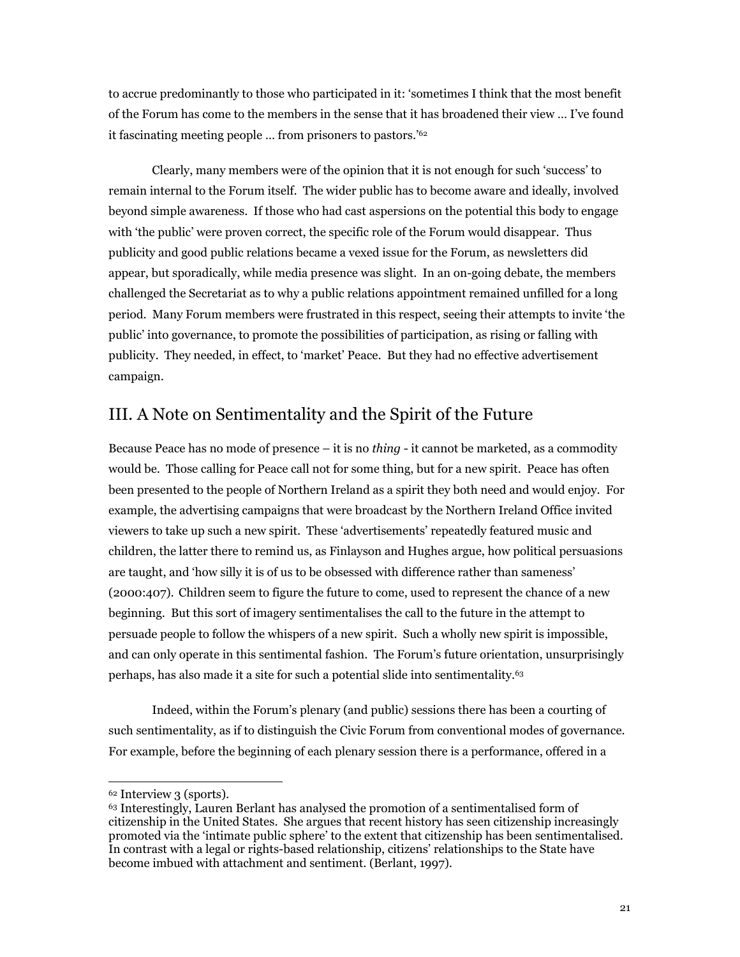to accrue predominantly to those who participated in it: 'sometimes I think that the most benefit of the Forum has come to the members in the sense that it has broadened their view … I've found it fascinating meeting people … from prisoners to pastors.'62

Clearly, many members were of the opinion that it is not enough for such 'success' to remain internal to the Forum itself. The wider public has to become aware and ideally, involved beyond simple awareness. If those who had cast aspersions on the potential this body to engage with 'the public' were proven correct, the specific role of the Forum would disappear. Thus publicity and good public relations became a vexed issue for the Forum, as newsletters did appear, but sporadically, while media presence was slight. In an on-going debate, the members challenged the Secretariat as to why a public relations appointment remained unfilled for a long period. Many Forum members were frustrated in this respect, seeing their attempts to invite 'the public' into governance, to promote the possibilities of participation, as rising or falling with publicity. They needed, in effect, to 'market' Peace. But they had no effective advertisement campaign.

# III. A Note on Sentimentality and the Spirit of the Future

Because Peace has no mode of presence – it is no *thing* - it cannot be marketed, as a commodity would be. Those calling for Peace call not for some thing, but for a new spirit. Peace has often been presented to the people of Northern Ireland as a spirit they both need and would enjoy. For example, the advertising campaigns that were broadcast by the Northern Ireland Office invited viewers to take up such a new spirit. These 'advertisements' repeatedly featured music and children, the latter there to remind us, as Finlayson and Hughes argue, how political persuasions are taught, and 'how silly it is of us to be obsessed with difference rather than sameness' (2000:407). Children seem to figure the future to come, used to represent the chance of a new beginning. But this sort of imagery sentimentalises the call to the future in the attempt to persuade people to follow the whispers of a new spirit. Such a wholly new spirit is impossible, and can only operate in this sentimental fashion. The Forum's future orientation, unsurprisingly perhaps, has also made it a site for such a potential slide into sentimentality.63

Indeed, within the Forum's plenary (and public) sessions there has been a courting of such sentimentality, as if to distinguish the Civic Forum from conventional modes of governance. For example, before the beginning of each plenary session there is a performance, offered in a

<sup>62</sup> Interview 3 (sports).

<sup>63</sup> Interestingly, Lauren Berlant has analysed the promotion of a sentimentalised form of citizenship in the United States. She argues that recent history has seen citizenship increasingly promoted via the 'intimate public sphere' to the extent that citizenship has been sentimentalised. In contrast with a legal or rights-based relationship, citizens' relationships to the State have become imbued with attachment and sentiment. (Berlant, 1997).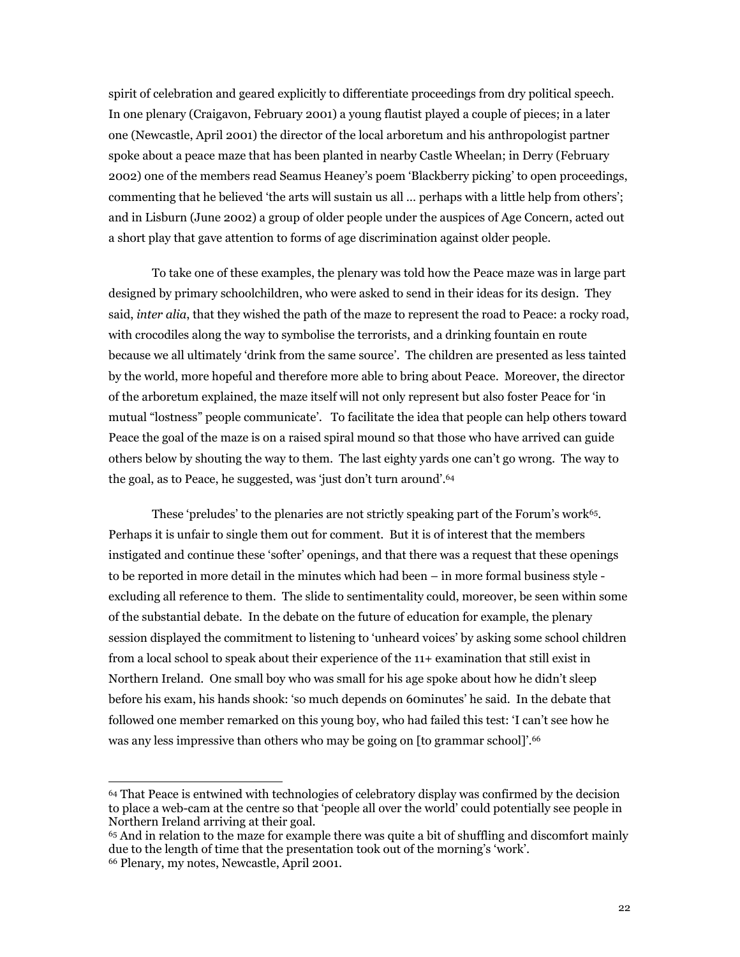spirit of celebration and geared explicitly to differentiate proceedings from dry political speech. In one plenary (Craigavon, February 2001) a young flautist played a couple of pieces; in a later one (Newcastle, April 2001) the director of the local arboretum and his anthropologist partner spoke about a peace maze that has been planted in nearby Castle Wheelan; in Derry (February 2002) one of the members read Seamus Heaney's poem 'Blackberry picking' to open proceedings, commenting that he believed 'the arts will sustain us all … perhaps with a little help from others'; and in Lisburn (June 2002) a group of older people under the auspices of Age Concern, acted out a short play that gave attention to forms of age discrimination against older people.

To take one of these examples, the plenary was told how the Peace maze was in large part designed by primary schoolchildren, who were asked to send in their ideas for its design. They said, *inter alia*, that they wished the path of the maze to represent the road to Peace: a rocky road, with crocodiles along the way to symbolise the terrorists, and a drinking fountain en route because we all ultimately 'drink from the same source'. The children are presented as less tainted by the world, more hopeful and therefore more able to bring about Peace. Moreover, the director of the arboretum explained, the maze itself will not only represent but also foster Peace for 'in mutual "lostness" people communicate'. To facilitate the idea that people can help others toward Peace the goal of the maze is on a raised spiral mound so that those who have arrived can guide others below by shouting the way to them. The last eighty yards one can't go wrong. The way to the goal, as to Peace, he suggested, was 'just don't turn around'.64

These 'preludes' to the plenaries are not strictly speaking part of the Forum's work $65$ . Perhaps it is unfair to single them out for comment. But it is of interest that the members instigated and continue these 'softer' openings, and that there was a request that these openings to be reported in more detail in the minutes which had been – in more formal business style excluding all reference to them. The slide to sentimentality could, moreover, be seen within some of the substantial debate. In the debate on the future of education for example, the plenary session displayed the commitment to listening to 'unheard voices' by asking some school children from a local school to speak about their experience of the 11+ examination that still exist in Northern Ireland. One small boy who was small for his age spoke about how he didn't sleep before his exam, his hands shook: 'so much depends on 60minutes' he said. In the debate that followed one member remarked on this young boy, who had failed this test: 'I can't see how he was any less impressive than others who may be going on [to grammar school]'.<sup>66</sup>

<sup>64</sup> That Peace is entwined with technologies of celebratory display was confirmed by the decision to place a web-cam at the centre so that 'people all over the world' could potentially see people in Northern Ireland arriving at their goal.

<sup>&</sup>lt;sup>65</sup> And in relation to the maze for example there was quite a bit of shuffling and discomfort mainly due to the length of time that the presentation took out of the morning's 'work'. 66 Plenary, my notes, Newcastle, April 2001.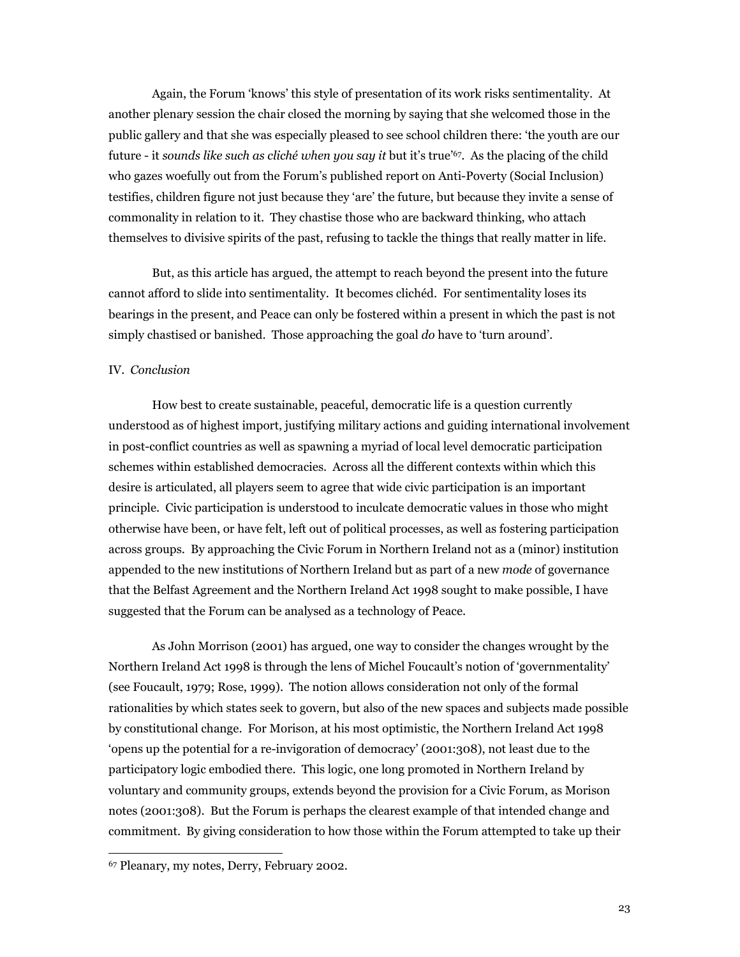Again, the Forum 'knows' this style of presentation of its work risks sentimentality. At another plenary session the chair closed the morning by saying that she welcomed those in the public gallery and that she was especially pleased to see school children there: 'the youth are our future - it *sounds like such as cliché when you say it* but it's true'67. As the placing of the child who gazes woefully out from the Forum's published report on Anti-Poverty (Social Inclusion) testifies, children figure not just because they 'are' the future, but because they invite a sense of commonality in relation to it. They chastise those who are backward thinking, who attach themselves to divisive spirits of the past, refusing to tackle the things that really matter in life.

But, as this article has argued, the attempt to reach beyond the present into the future cannot afford to slide into sentimentality. It becomes clichéd. For sentimentality loses its bearings in the present, and Peace can only be fostered within a present in which the past is not simply chastised or banished. Those approaching the goal *do* have to 'turn around'.

#### IV. *Conclusion*

How best to create sustainable, peaceful, democratic life is a question currently understood as of highest import, justifying military actions and guiding international involvement in post-conflict countries as well as spawning a myriad of local level democratic participation schemes within established democracies. Across all the different contexts within which this desire is articulated, all players seem to agree that wide civic participation is an important principle. Civic participation is understood to inculcate democratic values in those who might otherwise have been, or have felt, left out of political processes, as well as fostering participation across groups. By approaching the Civic Forum in Northern Ireland not as a (minor) institution appended to the new institutions of Northern Ireland but as part of a new *mode* of governance that the Belfast Agreement and the Northern Ireland Act 1998 sought to make possible, I have suggested that the Forum can be analysed as a technology of Peace.

As John Morrison (2001) has argued, one way to consider the changes wrought by the Northern Ireland Act 1998 is through the lens of Michel Foucault's notion of 'governmentality' (see Foucault, 1979; Rose, 1999). The notion allows consideration not only of the formal rationalities by which states seek to govern, but also of the new spaces and subjects made possible by constitutional change. For Morison, at his most optimistic, the Northern Ireland Act 1998 'opens up the potential for a re-invigoration of democracy' (2001:308), not least due to the participatory logic embodied there. This logic, one long promoted in Northern Ireland by voluntary and community groups, extends beyond the provision for a Civic Forum, as Morison notes (2001:308). But the Forum is perhaps the clearest example of that intended change and commitment. By giving consideration to how those within the Forum attempted to take up their

<sup>67</sup> Pleanary, my notes, Derry, February 2002.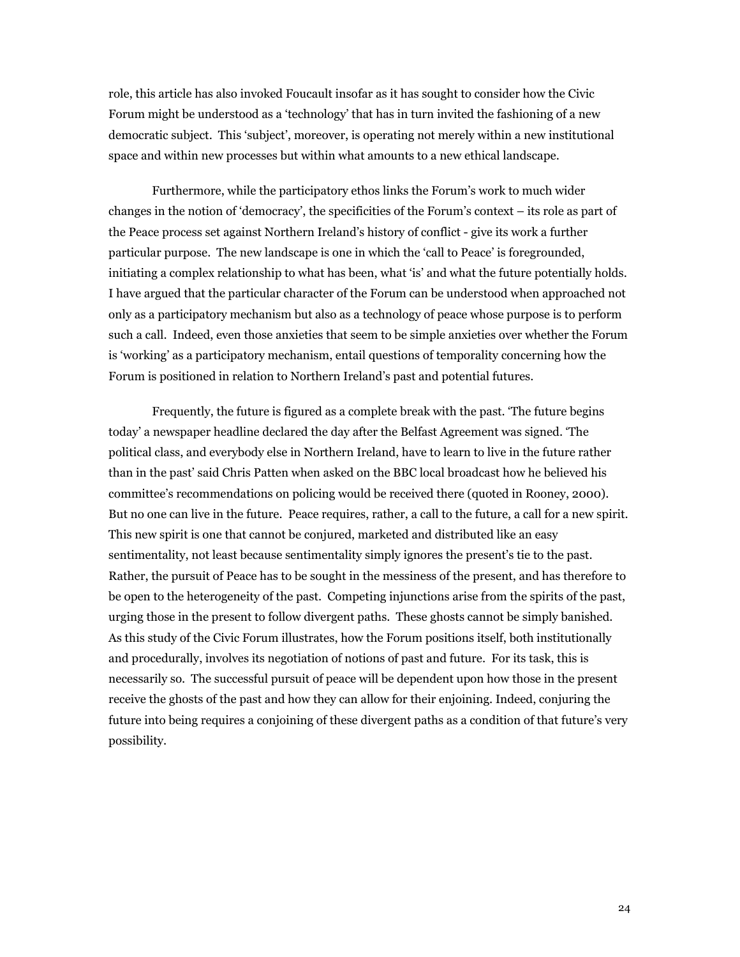role, this article has also invoked Foucault insofar as it has sought to consider how the Civic Forum might be understood as a 'technology' that has in turn invited the fashioning of a new democratic subject. This 'subject', moreover, is operating not merely within a new institutional space and within new processes but within what amounts to a new ethical landscape.

Furthermore, while the participatory ethos links the Forum's work to much wider changes in the notion of 'democracy', the specificities of the Forum's context – its role as part of the Peace process set against Northern Ireland's history of conflict - give its work a further particular purpose. The new landscape is one in which the 'call to Peace' is foregrounded, initiating a complex relationship to what has been, what 'is' and what the future potentially holds. I have argued that the particular character of the Forum can be understood when approached not only as a participatory mechanism but also as a technology of peace whose purpose is to perform such a call. Indeed, even those anxieties that seem to be simple anxieties over whether the Forum is 'working' as a participatory mechanism, entail questions of temporality concerning how the Forum is positioned in relation to Northern Ireland's past and potential futures.

Frequently, the future is figured as a complete break with the past. 'The future begins today' a newspaper headline declared the day after the Belfast Agreement was signed. 'The political class, and everybody else in Northern Ireland, have to learn to live in the future rather than in the past' said Chris Patten when asked on the BBC local broadcast how he believed his committee's recommendations on policing would be received there (quoted in Rooney, 2000). But no one can live in the future. Peace requires, rather, a call to the future, a call for a new spirit. This new spirit is one that cannot be conjured, marketed and distributed like an easy sentimentality, not least because sentimentality simply ignores the present's tie to the past. Rather, the pursuit of Peace has to be sought in the messiness of the present, and has therefore to be open to the heterogeneity of the past. Competing injunctions arise from the spirits of the past, urging those in the present to follow divergent paths. These ghosts cannot be simply banished. As this study of the Civic Forum illustrates, how the Forum positions itself, both institutionally and procedurally, involves its negotiation of notions of past and future. For its task, this is necessarily so. The successful pursuit of peace will be dependent upon how those in the present receive the ghosts of the past and how they can allow for their enjoining. Indeed, conjuring the future into being requires a conjoining of these divergent paths as a condition of that future's very possibility.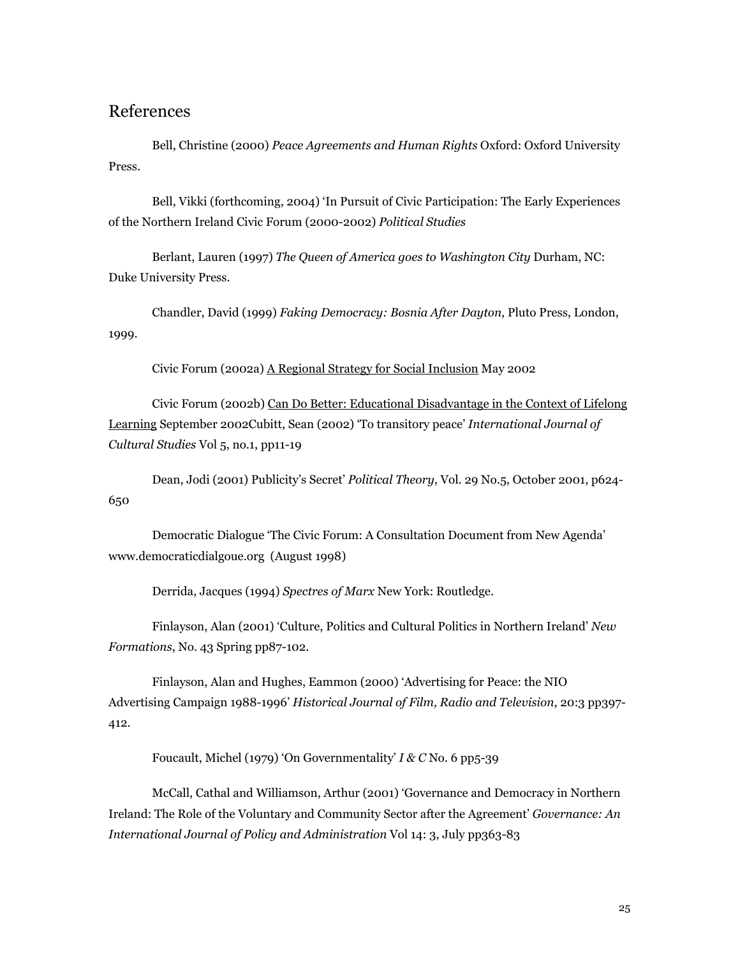### References

Bell, Christine (2000) *Peace Agreements and Human Rights* Oxford: Oxford University Press.

Bell, Vikki (forthcoming, 2004) 'In Pursuit of Civic Participation: The Early Experiences of the Northern Ireland Civic Forum (2000-2002) *Political Studies* 

Berlant, Lauren (1997) *The Queen of America goes to Washington City* Durham, NC: Duke University Press.

Chandler, David (1999) *Faking Democracy: Bosnia After Dayton*, Pluto Press, London, 1999.

Civic Forum (2002a) A Regional Strategy for Social Inclusion May 2002

Civic Forum (2002b) Can Do Better: Educational Disadvantage in the Context of Lifelong Learning September 2002Cubitt, Sean (2002) 'To transitory peace' *International Journal of Cultural Studies* Vol 5, no.1, pp11-19

Dean, Jodi (2001) Publicity's Secret' *Political Theory*, Vol. 29 No.5, October 2001, p624- 650

Democratic Dialogue 'The Civic Forum: A Consultation Document from New Agenda' www.democraticdialgoue.org (August 1998)

Derrida, Jacques (1994) *Spectres of Marx* New York: Routledge.

Finlayson, Alan (2001) 'Culture, Politics and Cultural Politics in Northern Ireland' *New Formations*, No. 43 Spring pp87-102.

Finlayson, Alan and Hughes, Eammon (2000) 'Advertising for Peace: the NIO Advertising Campaign 1988-1996' *Historical Journal of Film, Radio and Television*, 20:3 pp397- 412.

Foucault, Michel (1979) 'On Governmentality' *I & C* No. 6 pp5-39

McCall, Cathal and Williamson, Arthur (2001) 'Governance and Democracy in Northern Ireland: The Role of the Voluntary and Community Sector after the Agreement' *Governance: An International Journal of Policy and Administration* Vol 14: 3, July pp363-83